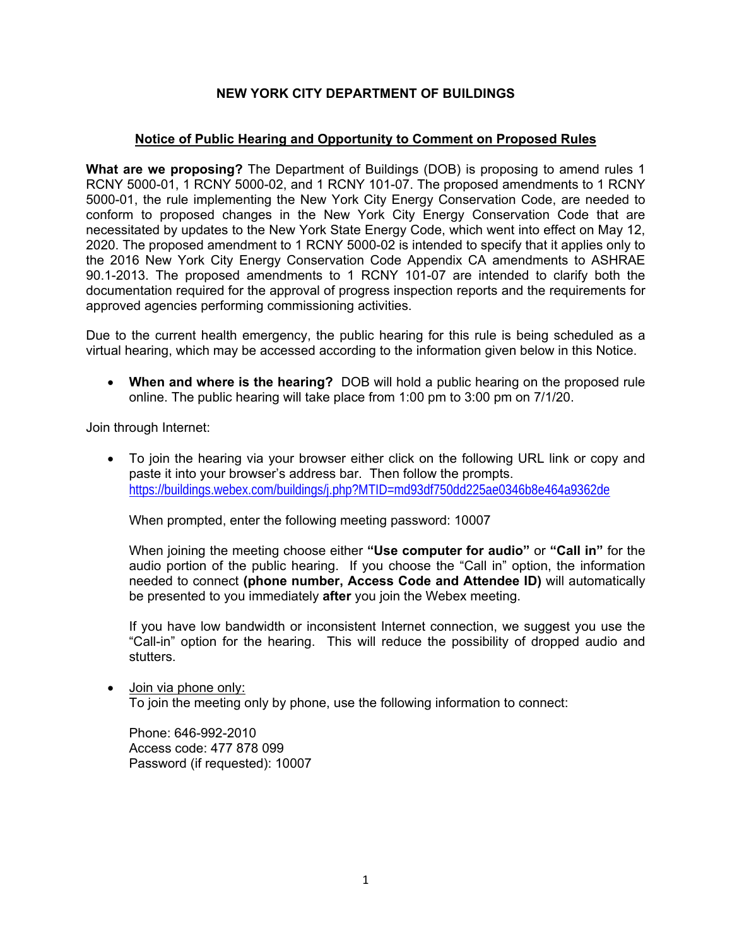## **NEW YORK CITY DEPARTMENT OF BUILDINGS**

### **Notice of Public Hearing and Opportunity to Comment on Proposed Rules**

**What are we proposing?** The Department of Buildings (DOB) is proposing to amend rules 1 RCNY 5000-01, 1 RCNY 5000-02, and 1 RCNY 101-07. The proposed amendments to 1 RCNY 5000-01, the rule implementing the New York City Energy Conservation Code, are needed to conform to proposed changes in the New York City Energy Conservation Code that are necessitated by updates to the New York State Energy Code, which went into effect on May 12, 2020. The proposed amendment to 1 RCNY 5000-02 is intended to specify that it applies only to the 2016 New York City Energy Conservation Code Appendix CA amendments to ASHRAE 90.1-2013. The proposed amendments to 1 RCNY 101-07 are intended to clarify both the documentation required for the approval of progress inspection reports and the requirements for approved agencies performing commissioning activities.

Due to the current health emergency, the public hearing for this rule is being scheduled as a virtual hearing, which may be accessed according to the information given below in this Notice.

 **When and where is the hearing?** DOB will hold a public hearing on the proposed rule online. The public hearing will take place from 1:00 pm to 3:00 pm on 7/1/20.

Join through Internet:

 To join the hearing via your browser either click on the following URL link or copy and paste it into your browser's address bar. Then follow the prompts. https://buildings.webex.com/buildings/j.php?MTID=md93df750dd225ae0346b8e464a9362de

When prompted, enter the following meeting password: 10007

When joining the meeting choose either **"Use computer for audio"** or **"Call in"** for the audio portion of the public hearing. If you choose the "Call in" option, the information needed to connect **(phone number, Access Code and Attendee ID)** will automatically be presented to you immediately **after** you join the Webex meeting.

If you have low bandwidth or inconsistent Internet connection, we suggest you use the "Call-in" option for the hearing. This will reduce the possibility of dropped audio and stutters.

Join via phone only: To join the meeting only by phone, use the following information to connect:

Phone: 646-992-2010 Access code: 477 878 099 Password (if requested): 10007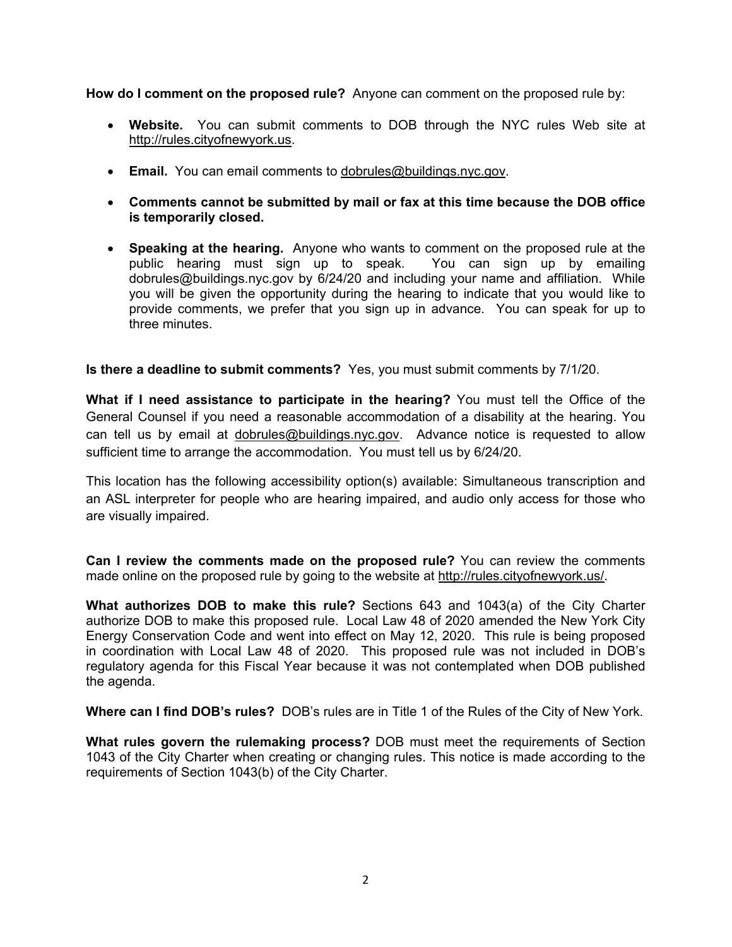**How do I comment on the proposed rule?** Anyone can comment on the proposed rule by:

- **Website.** You can submit comments to DOB through the NYC rules Web site at http://rules.cityofnewyork.us.
- **Email.** You can email comments to dobrules@buildings.nyc.gov.
- **Comments cannot be submitted by mail or fax at this time because the DOB office is temporarily closed.**
- **Speaking at the hearing.** Anyone who wants to comment on the proposed rule at the public hearing must sign up to speak. You can sign up by emailing public hearing must sign up to speak. dobrules@buildings.nyc.gov by 6/24/20 and including your name and affiliation. While you will be given the opportunity during the hearing to indicate that you would like to provide comments, we prefer that you sign up in advance. You can speak for up to three minutes.

**Is there a deadline to submit comments?** Yes, you must submit comments by 7/1/20.

**What if I need assistance to participate in the hearing?** You must tell the Office of the General Counsel if you need a reasonable accommodation of a disability at the hearing. You can tell us by email at dobrules@buildings.nyc.gov. Advance notice is requested to allow sufficient time to arrange the accommodation. You must tell us by 6/24/20.

This location has the following accessibility option(s) available: Simultaneous transcription and an ASL interpreter for people who are hearing impaired, and audio only access for those who are visually impaired.

**Can I review the comments made on the proposed rule?** You can review the comments made online on the proposed rule by going to the website at http://rules.cityofnewyork.us/.

**What authorizes DOB to make this rule?** Sections 643 and 1043(a) of the City Charter authorize DOB to make this proposed rule. Local Law 48 of 2020 amended the New York City Energy Conservation Code and went into effect on May 12, 2020. This rule is being proposed in coordination with Local Law 48 of 2020. This proposed rule was not included in DOB's regulatory agenda for this Fiscal Year because it was not contemplated when DOB published the agenda.

**Where can I find DOB's rules?** DOB's rules are in Title 1 of the Rules of the City of New York.

**What rules govern the rulemaking process?** DOB must meet the requirements of Section 1043 of the City Charter when creating or changing rules. This notice is made according to the requirements of Section 1043(b) of the City Charter.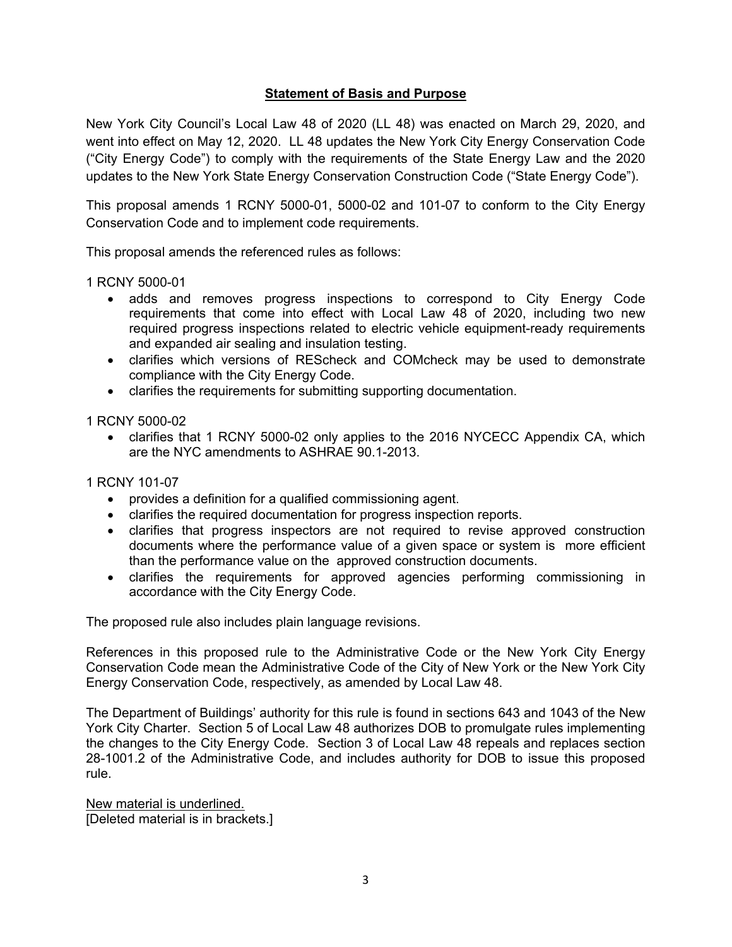### **Statement of Basis and Purpose**

New York City Council's Local Law 48 of 2020 (LL 48) was enacted on March 29, 2020, and went into effect on May 12, 2020. LL 48 updates the New York City Energy Conservation Code ("City Energy Code") to comply with the requirements of the State Energy Law and the 2020 updates to the New York State Energy Conservation Construction Code ("State Energy Code").

This proposal amends 1 RCNY 5000-01, 5000-02 and 101-07 to conform to the City Energy Conservation Code and to implement code requirements.

This proposal amends the referenced rules as follows:

1 RCNY 5000-01

- adds and removes progress inspections to correspond to City Energy Code requirements that come into effect with Local Law 48 of 2020, including two new required progress inspections related to electric vehicle equipment-ready requirements and expanded air sealing and insulation testing.
- clarifies which versions of REScheck and COMcheck may be used to demonstrate compliance with the City Energy Code.
- clarifies the requirements for submitting supporting documentation.

1 RCNY 5000-02

• clarifies that 1 RCNY 5000-02 only applies to the 2016 NYCECC Appendix CA, which are the NYC amendments to ASHRAE 90.1-2013.

1 RCNY 101-07

- provides a definition for a qualified commissioning agent.
- clarifies the required documentation for progress inspection reports.
- clarifies that progress inspectors are not required to revise approved construction documents where the performance value of a given space or system is more efficient than the performance value on the approved construction documents.
- clarifies the requirements for approved agencies performing commissioning in accordance with the City Energy Code.

The proposed rule also includes plain language revisions.

References in this proposed rule to the Administrative Code or the New York City Energy Conservation Code mean the Administrative Code of the City of New York or the New York City Energy Conservation Code, respectively, as amended by Local Law 48.

The Department of Buildings' authority for this rule is found in sections 643 and 1043 of the New York City Charter. Section 5 of Local Law 48 authorizes DOB to promulgate rules implementing the changes to the City Energy Code. Section 3 of Local Law 48 repeals and replaces section 28-1001.2 of the Administrative Code, and includes authority for DOB to issue this proposed rule.

New material is underlined. [Deleted material is in brackets.]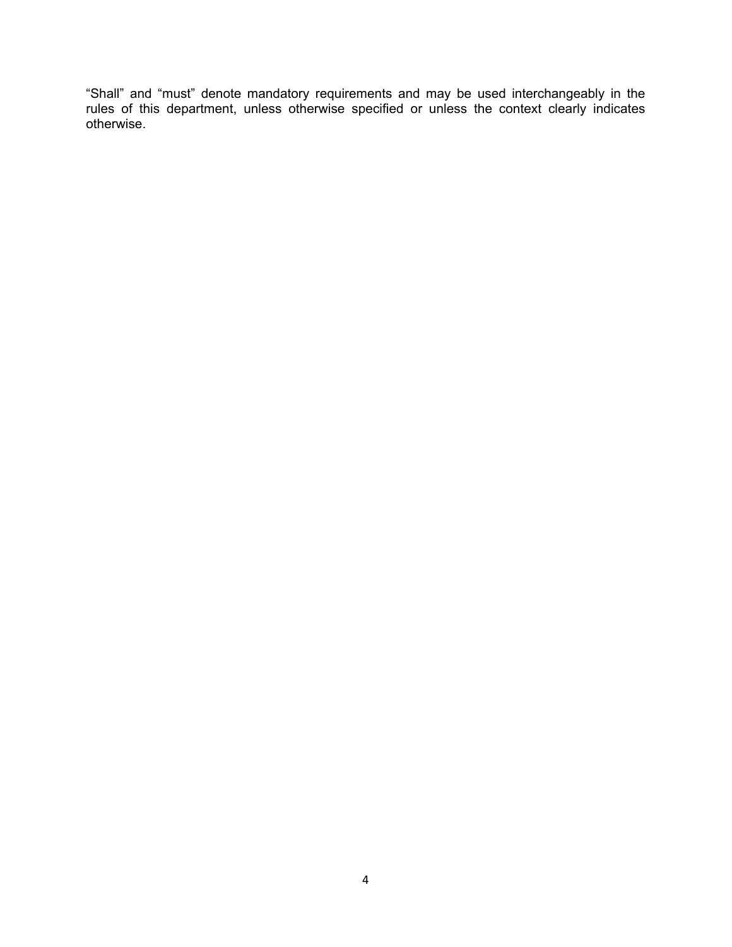"Shall" and "must" denote mandatory requirements and may be used interchangeably in the rules of this department, unless otherwise specified or unless the context clearly indicates otherwise.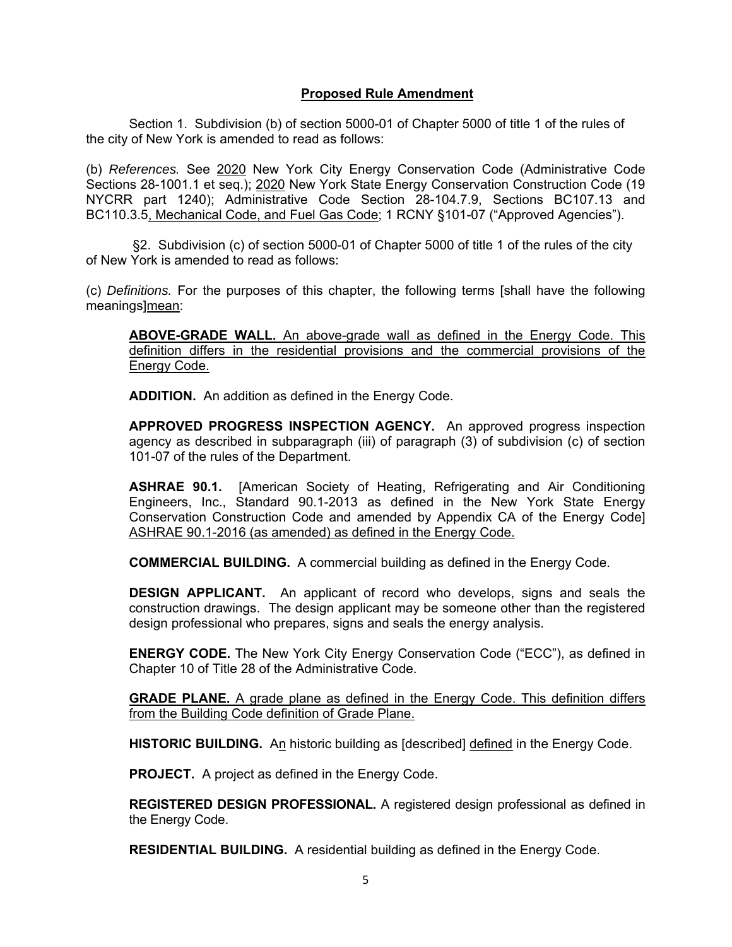### **Proposed Rule Amendment**

Section 1. Subdivision (b) of section 5000-01 of Chapter 5000 of title 1 of the rules of the city of New York is amended to read as follows:

(b) *References.* See 2020 New York City Energy Conservation Code (Administrative Code Sections 28-1001.1 et seq.); 2020 New York State Energy Conservation Construction Code (19 NYCRR part 1240); Administrative Code Section 28-104.7.9, Sections BC107.13 and BC110.3.5, Mechanical Code, and Fuel Gas Code; 1 RCNY §101-07 ("Approved Agencies").

 §2. Subdivision (c) of section 5000-01 of Chapter 5000 of title 1 of the rules of the city of New York is amended to read as follows:

(c) *Definitions.* For the purposes of this chapter, the following terms [shall have the following meanings]mean:

**ABOVE-GRADE WALL.** An above-grade wall as defined in the Energy Code. This definition differs in the residential provisions and the commercial provisions of the Energy Code.

**ADDITION.** An addition as defined in the Energy Code.

**APPROVED PROGRESS INSPECTION AGENCY.** An approved progress inspection agency as described in subparagraph (iii) of paragraph (3) of subdivision (c) of section 101-07 of the rules of the Department.

**ASHRAE 90.1.** [American Society of Heating, Refrigerating and Air Conditioning Engineers, Inc., Standard 90.1-2013 as defined in the New York State Energy Conservation Construction Code and amended by Appendix CA of the Energy Code] ASHRAE 90.1-2016 (as amended) as defined in the Energy Code.

**COMMERCIAL BUILDING.** A commercial building as defined in the Energy Code.

**DESIGN APPLICANT.** An applicant of record who develops, signs and seals the construction drawings. The design applicant may be someone other than the registered design professional who prepares, signs and seals the energy analysis.

**ENERGY CODE.** The New York City Energy Conservation Code ("ECC"), as defined in Chapter 10 of Title 28 of the Administrative Code.

**GRADE PLANE.** A grade plane as defined in the Energy Code. This definition differs from the Building Code definition of Grade Plane.

**HISTORIC BUILDING.** An historic building as [described] defined in the Energy Code.

**PROJECT.** A project as defined in the Energy Code.

**REGISTERED DESIGN PROFESSIONAL.** A registered design professional as defined in the Energy Code.

**RESIDENTIAL BUILDING.** A residential building as defined in the Energy Code.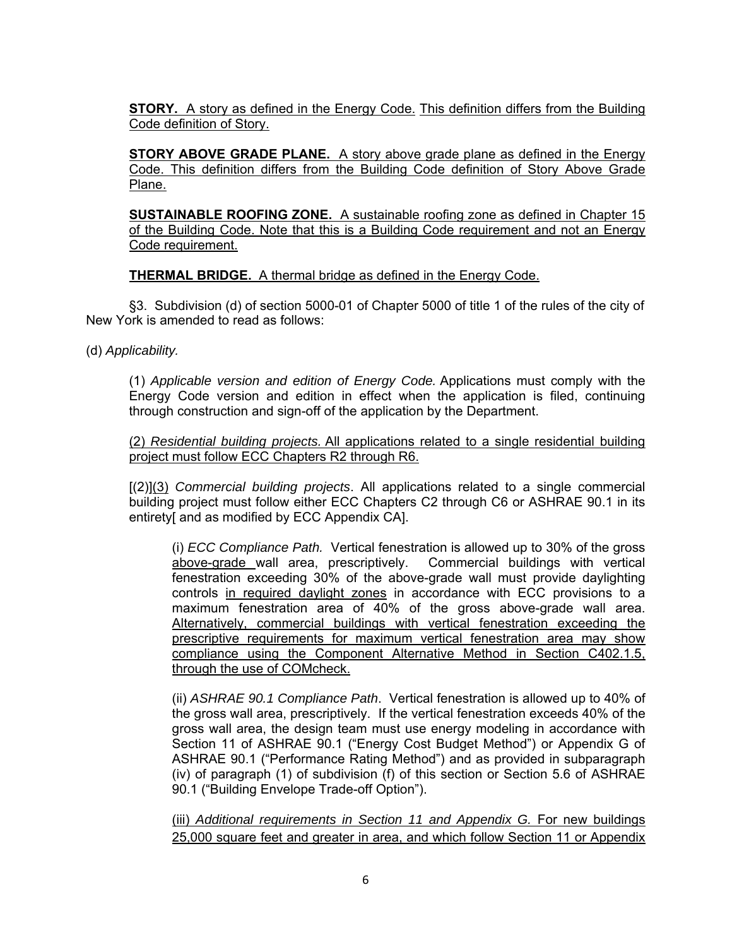**STORY.** A story as defined in the Energy Code. This definition differs from the Building Code definition of Story.

**STORY ABOVE GRADE PLANE.** A story above grade plane as defined in the Energy Code. This definition differs from the Building Code definition of Story Above Grade Plane.

**SUSTAINABLE ROOFING ZONE.** A sustainable roofing zone as defined in Chapter 15 of the Building Code. Note that this is a Building Code requirement and not an Energy Code requirement.

**THERMAL BRIDGE.** A thermal bridge as defined in the Energy Code.

§3. Subdivision (d) of section 5000-01 of Chapter 5000 of title 1 of the rules of the city of New York is amended to read as follows:

(d) *Applicability.*

(1) *Applicable version and edition of Energy Code.* Applications must comply with the Energy Code version and edition in effect when the application is filed, continuing through construction and sign-off of the application by the Department.

(2) *Residential building projects.* All applications related to a single residential building project must follow ECC Chapters R2 through R6.

[(2)](3) *Commercial building projects*. All applications related to a single commercial building project must follow either ECC Chapters C2 through C6 or ASHRAE 90.1 in its entirety[ and as modified by ECC Appendix CA].

(i) *ECC Compliance Path.* Vertical fenestration is allowed up to 30% of the gross above-grade wall area, prescriptively. Commercial buildings with vertical fenestration exceeding 30% of the above-grade wall must provide daylighting controls in required daylight zones in accordance with ECC provisions to a maximum fenestration area of 40% of the gross above-grade wall area. Alternatively, commercial buildings with vertical fenestration exceeding the prescriptive requirements for maximum vertical fenestration area may show compliance using the Component Alternative Method in Section C402.1.5, through the use of COMcheck.

(ii) *ASHRAE 90.1 Compliance Path*. Vertical fenestration is allowed up to 40% of the gross wall area, prescriptively. If the vertical fenestration exceeds 40% of the gross wall area, the design team must use energy modeling in accordance with Section 11 of ASHRAE 90.1 ("Energy Cost Budget Method") or Appendix G of ASHRAE 90.1 ("Performance Rating Method") and as provided in subparagraph (iv) of paragraph (1) of subdivision (f) of this section or Section 5.6 of ASHRAE 90.1 ("Building Envelope Trade-off Option").

(iii) *Additional requirements in Section 11 and Appendix G.* For new buildings 25,000 square feet and greater in area, and which follow Section 11 or Appendix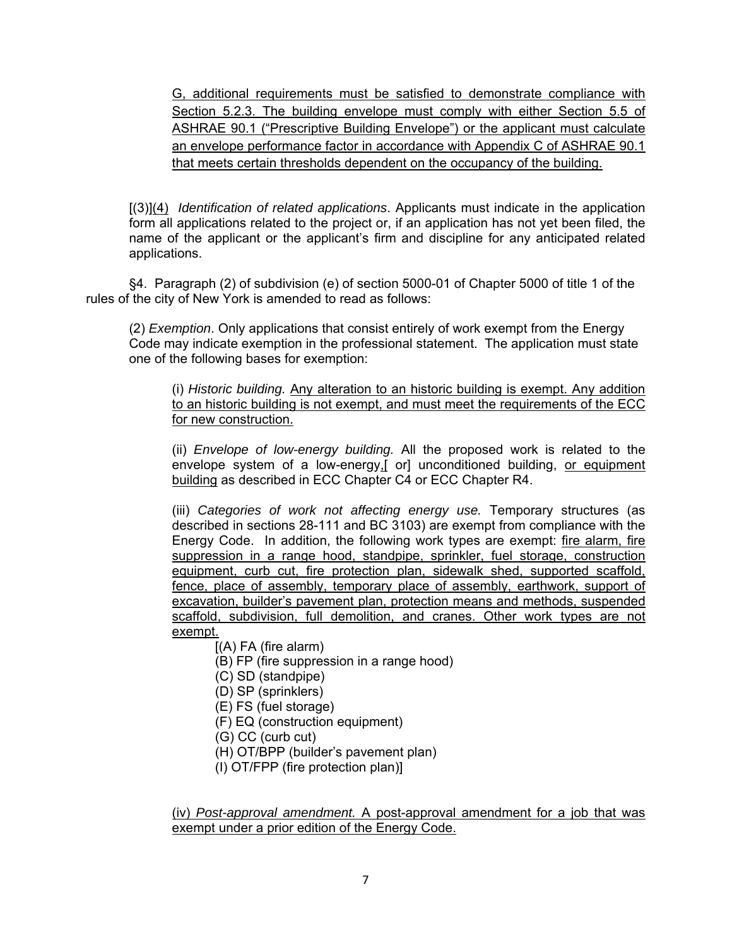G, additional requirements must be satisfied to demonstrate compliance with Section 5.2.3. The building envelope must comply with either Section 5.5 of ASHRAE 90.1 ("Prescriptive Building Envelope") or the applicant must calculate an envelope performance factor in accordance with Appendix C of ASHRAE 90.1 that meets certain thresholds dependent on the occupancy of the building.

[(3)](4) *Identification of related applications*. Applicants must indicate in the application form all applications related to the project or, if an application has not yet been filed, the name of the applicant or the applicant's firm and discipline for any anticipated related applications.

§4. Paragraph (2) of subdivision (e) of section 5000-01 of Chapter 5000 of title 1 of the rules of the city of New York is amended to read as follows:

(2) *Exemption*. Only applications that consist entirely of work exempt from the Energy Code may indicate exemption in the professional statement. The application must state one of the following bases for exemption:

(i) *Historic building.* Any alteration to an historic building is exempt. Any addition to an historic building is not exempt, and must meet the requirements of the ECC for new construction.

(ii) *Envelope of low-energy building.* All the proposed work is related to the envelope system of a low-energy,[ or] unconditioned building, or equipment building as described in ECC Chapter C4 or ECC Chapter R4.

(iii) *Categories of work not affecting energy use.* Temporary structures (as described in sections 28-111 and BC 3103) are exempt from compliance with the Energy Code. In addition, the following work types are exempt: fire alarm, fire suppression in a range hood, standpipe, sprinkler, fuel storage, construction equipment, curb cut, fire protection plan, sidewalk shed, supported scaffold, fence, place of assembly, temporary place of assembly, earthwork, support of excavation, builder's pavement plan, protection means and methods, suspended scaffold, subdivision, full demolition, and cranes. Other work types are not exempt.

[(A) FA (fire alarm)

- (B) FP (fire suppression in a range hood)
- (C) SD (standpipe)
- (D) SP (sprinklers)
- (E) FS (fuel storage)
- (F) EQ (construction equipment)
- (G) CC (curb cut)
- (H) OT/BPP (builder's pavement plan)
- (I) OT/FPP (fire protection plan)]

(iv) *Post-approval amendment.* A post-approval amendment for a job that was exempt under a prior edition of the Energy Code.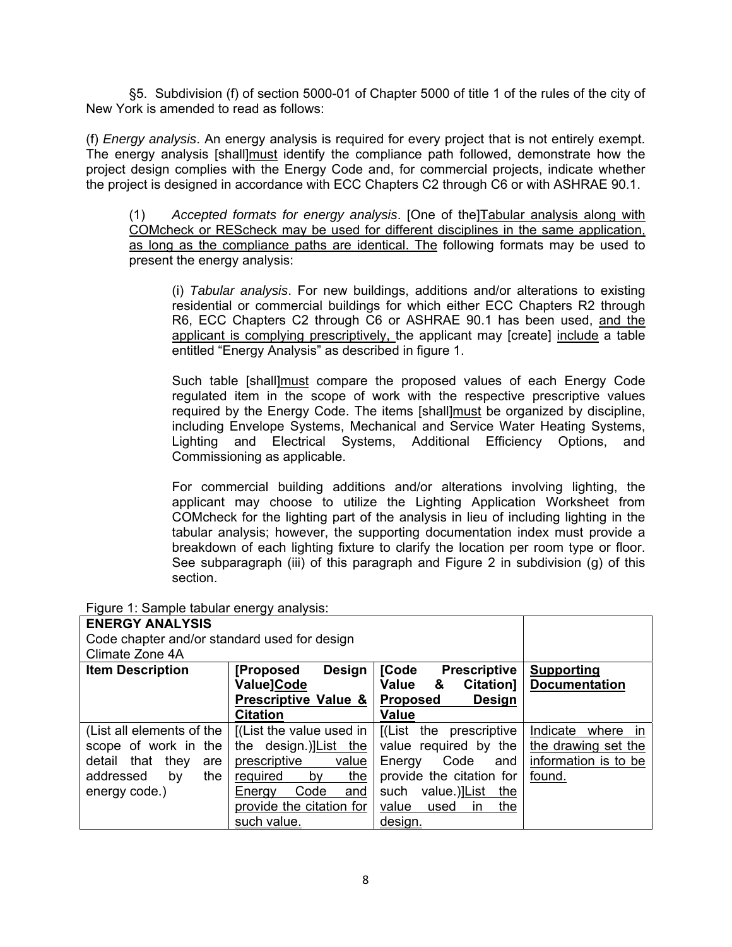§5. Subdivision (f) of section 5000-01 of Chapter 5000 of title 1 of the rules of the city of New York is amended to read as follows:

(f) *Energy analysis*. An energy analysis is required for every project that is not entirely exempt. The energy analysis [shall]must identify the compliance path followed, demonstrate how the project design complies with the Energy Code and, for commercial projects, indicate whether the project is designed in accordance with ECC Chapters C2 through C6 or with ASHRAE 90.1.

(1) *Accepted formats for energy analysis*. [One of the]Tabular analysis along with COMcheck or REScheck may be used for different disciplines in the same application, as long as the compliance paths are identical. The following formats may be used to present the energy analysis:

(i) *Tabular analysis*. For new buildings, additions and/or alterations to existing residential or commercial buildings for which either ECC Chapters R2 through R6, ECC Chapters C2 through C6 or ASHRAE 90.1 has been used, and the applicant is complying prescriptively, the applicant may [create] include a table entitled "Energy Analysis" as described in figure 1.

Such table [shall]must compare the proposed values of each Energy Code regulated item in the scope of work with the respective prescriptive values required by the Energy Code. The items [shall]must be organized by discipline, including Envelope Systems, Mechanical and Service Water Heating Systems, Lighting and Electrical Systems, Additional Efficiency Options, and Commissioning as applicable.

For commercial building additions and/or alterations involving lighting, the applicant may choose to utilize the Lighting Application Worksheet from COMcheck for the lighting part of the analysis in lieu of including lighting in the tabular analysis; however, the supporting documentation index must provide a breakdown of each lighting fixture to clarify the location per room type or floor. See subparagraph (iii) of this paragraph and Figure 2 in subdivision (g) of this section.

| <b>ENERGY ANALYSIS</b><br>Code chapter and/or standard used for design<br>Climate Zone 4A                                     |                                                                                                                                                                                |                                                                                                                                                                             |                                                                               |
|-------------------------------------------------------------------------------------------------------------------------------|--------------------------------------------------------------------------------------------------------------------------------------------------------------------------------|-----------------------------------------------------------------------------------------------------------------------------------------------------------------------------|-------------------------------------------------------------------------------|
| <b>Item Description</b>                                                                                                       | <b>Design</b><br>[Proposed]<br>Value]Code<br>Prescriptive Value &<br><b>Citation</b>                                                                                           | <b>[Code</b><br><b>Prescriptive</b><br>Value<br>Citation]<br>&<br><b>Design</b><br><b>Proposed</b><br><b>Value</b>                                                          | <b>Supporting</b><br><b>Documentation</b>                                     |
| (List all elements of the<br>scope of work in the<br>that<br>they<br>detail<br>are<br>addressed<br>the<br>by<br>energy code.) | $[$ (List the value used in $ $<br>the design.)]List the<br>value<br>prescriptive<br>the<br>required<br>by<br>Code<br>Energy<br>and<br>provide the citation for<br>such value. | [(List the prescriptive<br>value required by the<br>Code<br>Energy<br>and<br>provide the citation for<br>value.)]List the<br>such<br>the<br>value<br>used<br>in.<br>design. | Indicate<br>where in<br>the drawing set the<br>information is to be<br>found. |

Figure 1: Sample tabular energy analysis: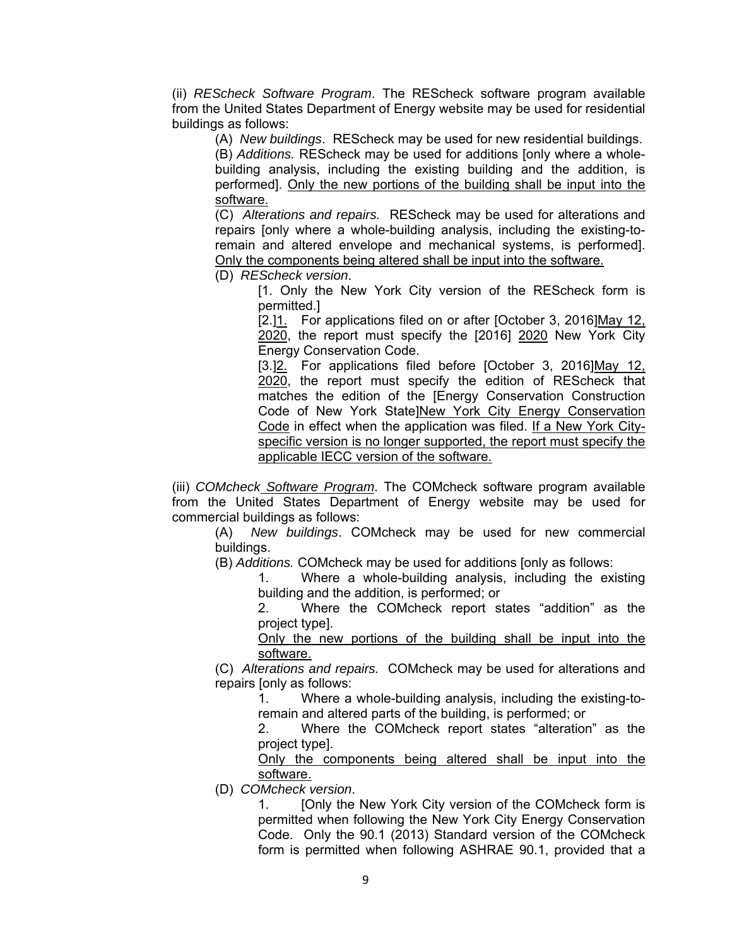(ii) *REScheck Software Program*. The REScheck software program available from the United States Department of Energy website may be used for residential buildings as follows:

(A) *New buildings*. REScheck may be used for new residential buildings.

(B) *Additions.* REScheck may be used for additions [only where a wholebuilding analysis, including the existing building and the addition, is performed]. Only the new portions of the building shall be input into the software.

(C) *Alterations and repairs.* REScheck may be used for alterations and repairs [only where a whole-building analysis, including the existing-toremain and altered envelope and mechanical systems, is performed]. Only the components being altered shall be input into the software.

(D) *REScheck version*.

[1. Only the New York City version of the REScheck form is permitted.]

[2.]1. For applications filed on or after [October 3, 2016]May 12. 2020, the report must specify the [2016] 2020 New York City Energy Conservation Code.

[3.]<sub>2</sub>. For applications filed before [October 3, 2016]May 12, 2020, the report must specify the edition of REScheck that matches the edition of the [Energy Conservation Construction Code of New York State]New York City Energy Conservation Code in effect when the application was filed. If a New York Cityspecific version is no longer supported, the report must specify the applicable IECC version of the software.

(iii) *COMcheck Software Program*. The COMcheck software program available from the United States Department of Energy website may be used for commercial buildings as follows:

(A) *New buildings*. COMcheck may be used for new commercial buildings.

(B) *Additions.* COMcheck may be used for additions [only as follows:

1. Where a whole-building analysis, including the existing building and the addition, is performed; or

2. Where the COMcheck report states "addition" as the project type].

Only the new portions of the building shall be input into the software.

(C) *Alterations and repairs.* COMcheck may be used for alterations and repairs [only as follows:

1. Where a whole-building analysis, including the existing-toremain and altered parts of the building, is performed; or

2. Where the COMcheck report states "alteration" as the project type].

Only the components being altered shall be input into the software.

(D) *COMcheck version*.

1. [Only the New York City version of the COMcheck form is permitted when following the New York City Energy Conservation Code. Only the 90.1 (2013) Standard version of the COMcheck form is permitted when following ASHRAE 90.1, provided that a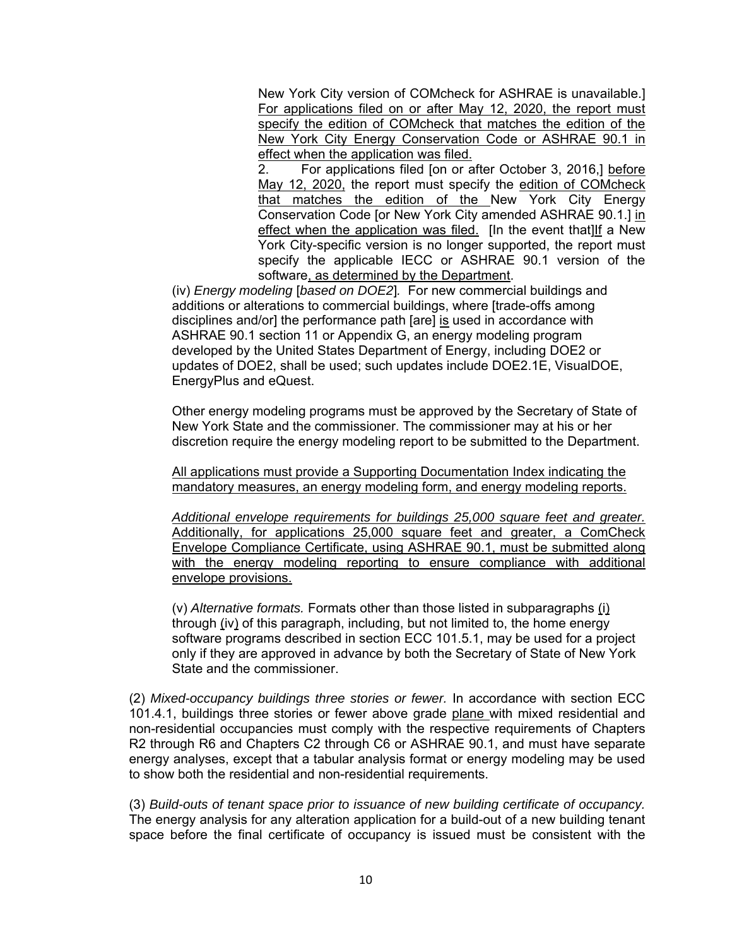New York City version of COMcheck for ASHRAE is unavailable.] For applications filed on or after May 12, 2020, the report must specify the edition of COMcheck that matches the edition of the New York City Energy Conservation Code or ASHRAE 90.1 in effect when the application was filed.

2. For applications filed [on or after October 3, 2016,] before May 12, 2020, the report must specify the edition of COMcheck that matches the edition of the New York City Energy Conservation Code [or New York City amended ASHRAE 90.1.] in effect when the application was filed. [In the event that]If a New York City-specific version is no longer supported, the report must specify the applicable IECC or ASHRAE 90.1 version of the software, as determined by the Department.

(iv) *Energy modeling* [*based on DOE2*]*.* For new commercial buildings and additions or alterations to commercial buildings, where [trade-offs among disciplines and/or] the performance path [are] is used in accordance with ASHRAE 90.1 section 11 or Appendix G, an energy modeling program developed by the United States Department of Energy, including DOE2 or updates of DOE2, shall be used; such updates include DOE2.1E, VisualDOE, EnergyPlus and eQuest.

Other energy modeling programs must be approved by the Secretary of State of New York State and the commissioner. The commissioner may at his or her discretion require the energy modeling report to be submitted to the Department.

All applications must provide a Supporting Documentation Index indicating the mandatory measures, an energy modeling form, and energy modeling reports.

*Additional envelope requirements for buildings 25,000 square feet and greater.* Additionally, for applications 25,000 square feet and greater, a ComCheck Envelope Compliance Certificate, using ASHRAE 90.1, must be submitted along with the energy modeling reporting to ensure compliance with additional envelope provisions.

(v) *Alternative formats.* Formats other than those listed in subparagraphs (i) through (iv) of this paragraph, including, but not limited to, the home energy software programs described in section ECC 101.5.1, may be used for a project only if they are approved in advance by both the Secretary of State of New York State and the commissioner.

(2) *Mixed-occupancy buildings three stories or fewer.* In accordance with section ECC 101.4.1, buildings three stories or fewer above grade plane with mixed residential and non-residential occupancies must comply with the respective requirements of Chapters R2 through R6 and Chapters C2 through C6 or ASHRAE 90.1, and must have separate energy analyses, except that a tabular analysis format or energy modeling may be used to show both the residential and non-residential requirements.

(3) *Build-outs of tenant space prior to issuance of new building certificate of occupancy.* The energy analysis for any alteration application for a build-out of a new building tenant space before the final certificate of occupancy is issued must be consistent with the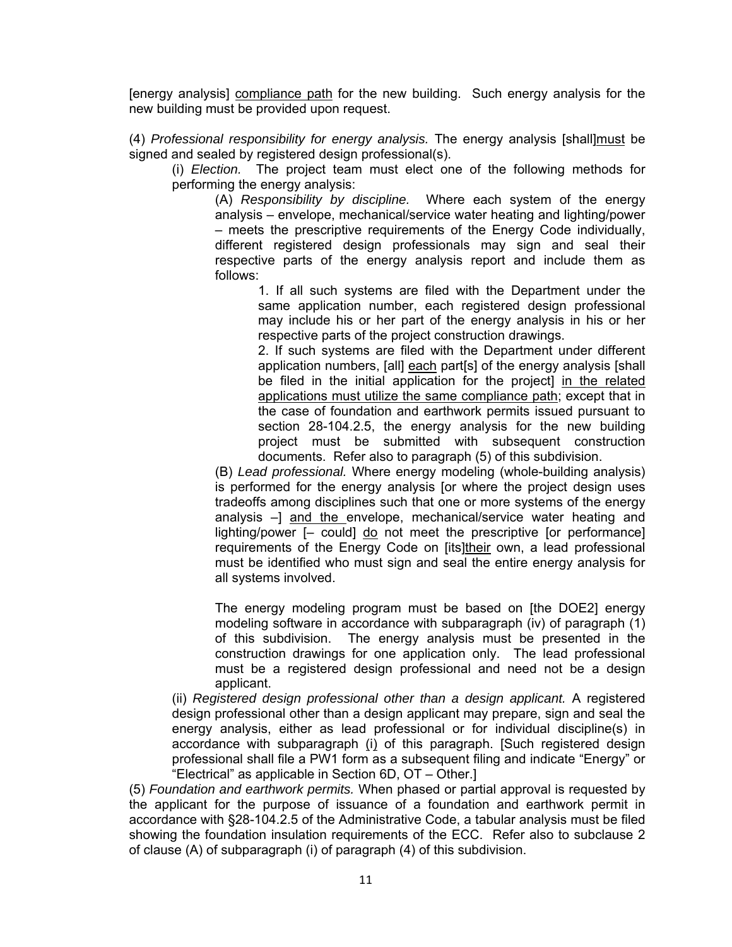[energy analysis] compliance path for the new building. Such energy analysis for the new building must be provided upon request.

(4) *Professional responsibility for energy analysis.* The energy analysis [shall]must be signed and sealed by registered design professional(s).

(i) *Election.* The project team must elect one of the following methods for performing the energy analysis:

(A) *Responsibility by discipline.* Where each system of the energy analysis – envelope, mechanical/service water heating and lighting/power – meets the prescriptive requirements of the Energy Code individually, different registered design professionals may sign and seal their respective parts of the energy analysis report and include them as follows:

1. If all such systems are filed with the Department under the same application number, each registered design professional may include his or her part of the energy analysis in his or her respective parts of the project construction drawings.

2. If such systems are filed with the Department under different application numbers, [all] each part[s] of the energy analysis [shall be filed in the initial application for the project] in the related applications must utilize the same compliance path; except that in the case of foundation and earthwork permits issued pursuant to section 28-104.2.5, the energy analysis for the new building project must be submitted with subsequent construction documents. Refer also to paragraph (5) of this subdivision.

(B) *Lead professional.* Where energy modeling (whole-building analysis) is performed for the energy analysis [or where the project design uses tradeoffs among disciplines such that one or more systems of the energy analysis –] and the envelope, mechanical/service water heating and lighting/power [– could] do not meet the prescriptive [or performance] requirements of the Energy Code on [its]their own, a lead professional must be identified who must sign and seal the entire energy analysis for all systems involved.

The energy modeling program must be based on [the DOE2] energy modeling software in accordance with subparagraph (iv) of paragraph (1) of this subdivision. The energy analysis must be presented in the construction drawings for one application only. The lead professional must be a registered design professional and need not be a design applicant.

(ii) *Registered design professional other than a design applicant.* A registered design professional other than a design applicant may prepare, sign and seal the energy analysis, either as lead professional or for individual discipline(s) in accordance with subparagraph (i) of this paragraph. [Such registered design professional shall file a PW1 form as a subsequent filing and indicate "Energy" or "Electrical" as applicable in Section 6D, OT – Other.]

(5) *Foundation and earthwork permits.* When phased or partial approval is requested by the applicant for the purpose of issuance of a foundation and earthwork permit in accordance with §28-104.2.5 of the Administrative Code, a tabular analysis must be filed showing the foundation insulation requirements of the ECC. Refer also to subclause 2 of clause (A) of subparagraph (i) of paragraph (4) of this subdivision.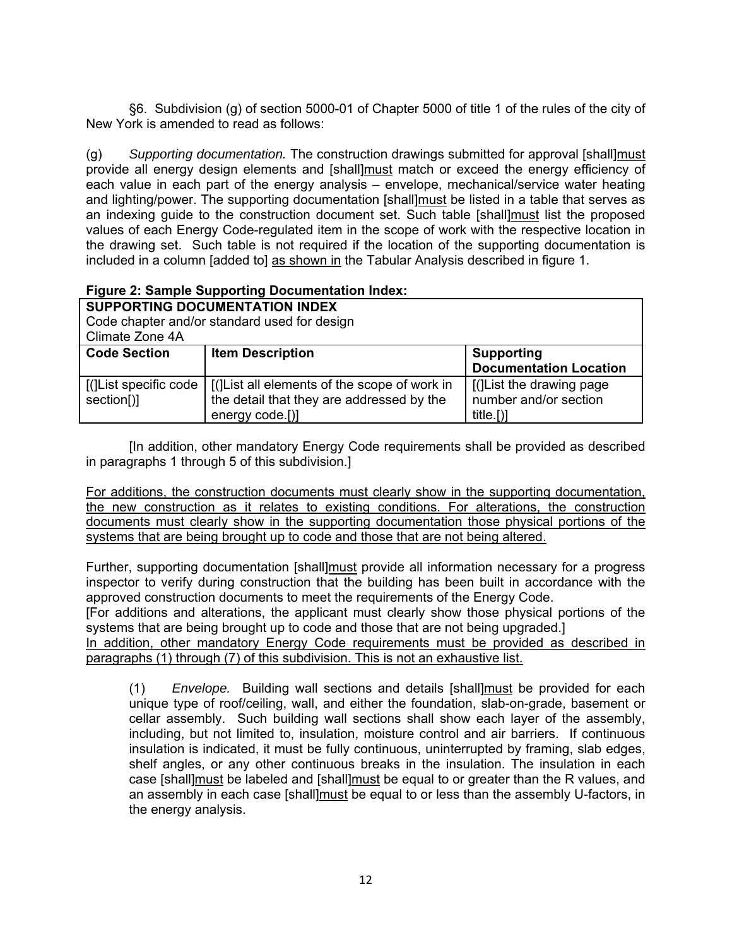§6. Subdivision (g) of section 5000-01 of Chapter 5000 of title 1 of the rules of the city of New York is amended to read as follows:

(g) *Supporting documentation.* The construction drawings submitted for approval [shall]must provide all energy design elements and [shall]must match or exceed the energy efficiency of each value in each part of the energy analysis – envelope, mechanical/service water heating and lighting/power. The supporting documentation [shall]must be listed in a table that serves as an indexing guide to the construction document set. Such table [shall]must list the proposed values of each Energy Code-regulated item in the scope of work with the respective location in the drawing set. Such table is not required if the location of the supporting documentation is included in a column [added to] as shown in the Tabular Analysis described in figure 1.

# **Figure 2: Sample Supporting Documentation Index:**

**SUPPORTING DOCUMENTATION INDEX**  Code chapter and/or standard used for design Climate Zone 4A **Code Section | Item Description | Supporting | Supporting | Supporting | Supporting | Supporting | Supporting | Supporting | Supporting | Supporting | Supporting | Supporting | Supporting | Supporting | Supporting | Suppo Documentation Location**  [(]List specific code section[)] [(]List all elements of the scope of work in the detail that they are addressed by the energy code.[)] [(]List the drawing page number and/or section title.[)]

[In addition, other mandatory Energy Code requirements shall be provided as described in paragraphs 1 through 5 of this subdivision.]

For additions, the construction documents must clearly show in the supporting documentation, the new construction as it relates to existing conditions. For alterations, the construction documents must clearly show in the supporting documentation those physical portions of the systems that are being brought up to code and those that are not being altered.

Further, supporting documentation [shall]must provide all information necessary for a progress inspector to verify during construction that the building has been built in accordance with the approved construction documents to meet the requirements of the Energy Code.

[For additions and alterations, the applicant must clearly show those physical portions of the systems that are being brought up to code and those that are not being upgraded.]

In addition, other mandatory Energy Code requirements must be provided as described in paragraphs (1) through (7) of this subdivision. This is not an exhaustive list.

(1) *Envelope.* Building wall sections and details [shall]must be provided for each unique type of roof/ceiling, wall, and either the foundation, slab-on-grade, basement or cellar assembly. Such building wall sections shall show each layer of the assembly, including, but not limited to, insulation, moisture control and air barriers. If continuous insulation is indicated, it must be fully continuous, uninterrupted by framing, slab edges, shelf angles, or any other continuous breaks in the insulation. The insulation in each case [shall]must be labeled and [shall]must be equal to or greater than the R values, and an assembly in each case [shall]must be equal to or less than the assembly U-factors, in the energy analysis.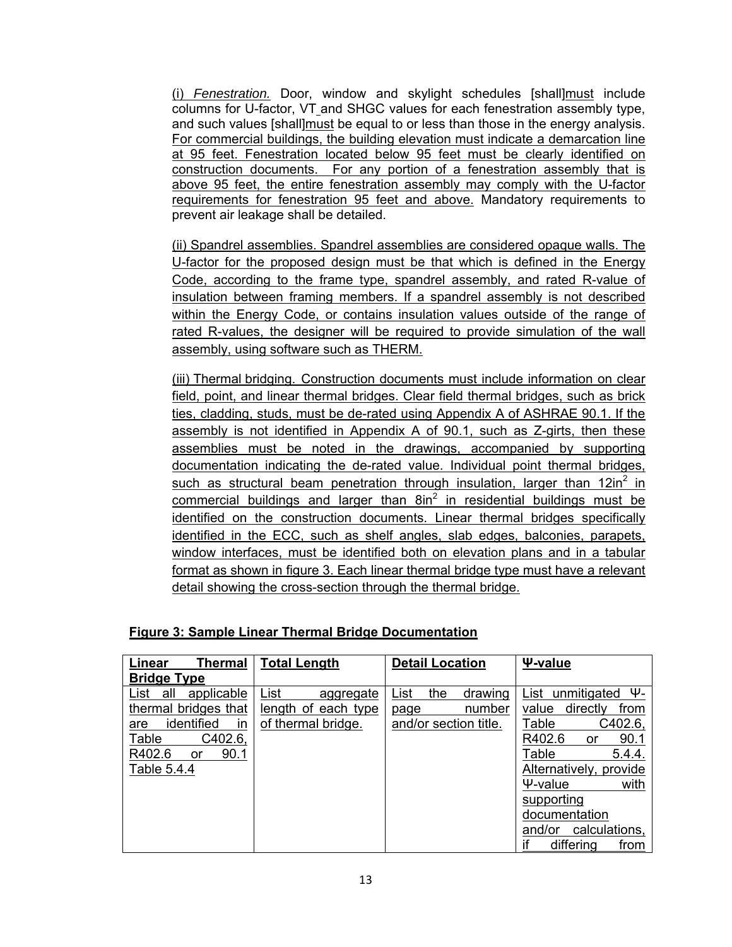(i) *Fenestration.* Door, window and skylight schedules [shall]must include columns for U-factor, VT and SHGC values for each fenestration assembly type, and such values [shall] must be equal to or less than those in the energy analysis. For commercial buildings, the building elevation must indicate a demarcation line at 95 feet. Fenestration located below 95 feet must be clearly identified on construction documents. For any portion of a fenestration assembly that is above 95 feet, the entire fenestration assembly may comply with the U-factor requirements for fenestration 95 feet and above. Mandatory requirements to prevent air leakage shall be detailed.

(ii) Spandrel assemblies. Spandrel assemblies are considered opaque walls. The U-factor for the proposed design must be that which is defined in the Energy Code, according to the frame type, spandrel assembly, and rated R-value of insulation between framing members. If a spandrel assembly is not described within the Energy Code, or contains insulation values outside of the range of rated R-values, the designer will be required to provide simulation of the wall assembly, using software such as THERM.

(iii) Thermal bridging. Construction documents must include information on clear field, point, and linear thermal bridges. Clear field thermal bridges, such as brick ties, cladding, studs, must be de-rated using Appendix A of ASHRAE 90.1. If the assembly is not identified in Appendix A of 90.1, such as Z-girts, then these assemblies must be noted in the drawings, accompanied by supporting documentation indicating the de-rated value. Individual point thermal bridges, such as structural beam penetration through insulation, larger than  $12$ in<sup>2</sup> in commercial buildings and larger than 8in<sup>2</sup> in residential buildings must be identified on the construction documents. Linear thermal bridges specifically identified in the ECC, such as shelf angles, slab edges, balconies, parapets, window interfaces, must be identified both on elevation plans and in a tabular format as shown in figure 3. Each linear thermal bridge type must have a relevant detail showing the cross-section through the thermal bridge.

|  |  |  | Figure 3: Sample Linear Thermal Bridge Documentation |
|--|--|--|------------------------------------------------------|
|--|--|--|------------------------------------------------------|

| Linear<br>Thermal                                                                                                                       | <b>Total Length</b>                                            | <b>Detail Location</b>                                            | Ψ-value                                                                                                                                                                                                                                                     |
|-----------------------------------------------------------------------------------------------------------------------------------------|----------------------------------------------------------------|-------------------------------------------------------------------|-------------------------------------------------------------------------------------------------------------------------------------------------------------------------------------------------------------------------------------------------------------|
| <b>Bridge Type</b>                                                                                                                      |                                                                |                                                                   |                                                                                                                                                                                                                                                             |
| applicable<br>all<br>List<br>thermal bridges that<br>identified<br>in<br>are<br>Table<br>C402.6,<br>R402.6<br>90.1<br>or<br>Table 5.4.4 | List<br>aggregate<br>length of each type<br>of thermal bridge. | the<br>List<br>drawing<br>number<br>page<br>and/or section title. | Ψ-<br>unmitigated<br>List<br>directly<br>value<br><u>from</u><br>Table<br>C402.6,<br>R402.6<br>90.1<br>or<br>Table<br>5.4.4.<br>Alternatively, provide<br>with<br>$V$ -value<br>supporting<br>documentation<br>calculations,<br>and/or<br>differing<br>from |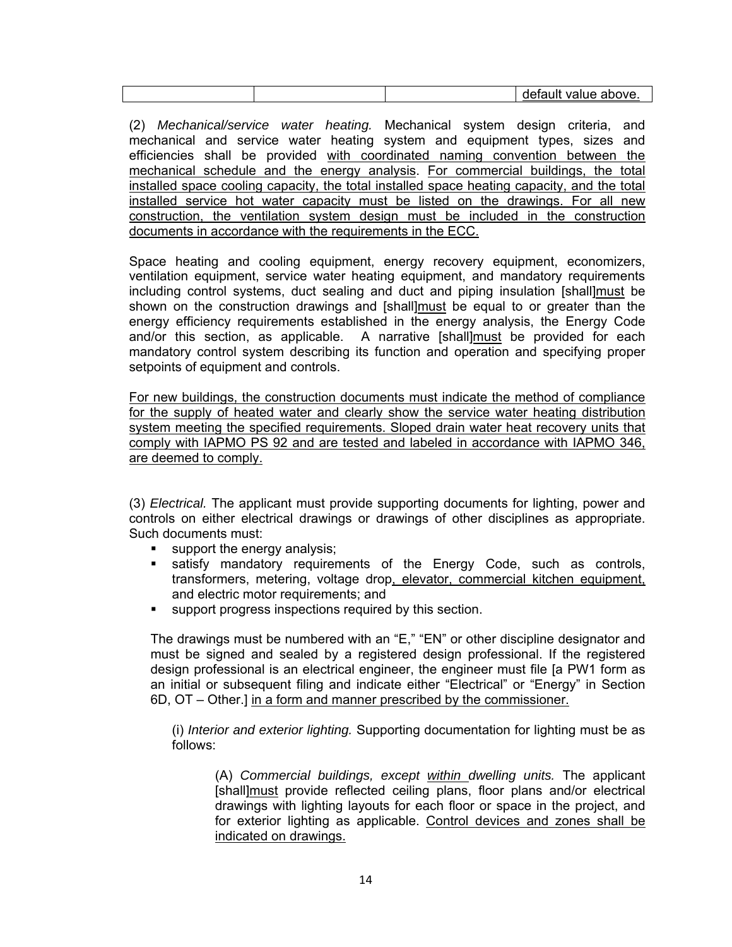|  | <b>OVA</b><br>-<br>.<br>--<br>- - -<br>n 11<br>.<br>-<br>.<br>. |
|--|-----------------------------------------------------------------|

(2) *Mechanical/service water heating.* Mechanical system design criteria, and mechanical and service water heating system and equipment types, sizes and efficiencies shall be provided with coordinated naming convention between the mechanical schedule and the energy analysis. For commercial buildings, the total installed space cooling capacity, the total installed space heating capacity, and the total installed service hot water capacity must be listed on the drawings. For all new construction, the ventilation system design must be included in the construction documents in accordance with the requirements in the ECC.

Space heating and cooling equipment, energy recovery equipment, economizers, ventilation equipment, service water heating equipment, and mandatory requirements including control systems, duct sealing and duct and piping insulation [shall]must be shown on the construction drawings and [shall]must be equal to or greater than the energy efficiency requirements established in the energy analysis, the Energy Code and/or this section, as applicable. A narrative [shall]must be provided for each mandatory control system describing its function and operation and specifying proper setpoints of equipment and controls.

For new buildings, the construction documents must indicate the method of compliance for the supply of heated water and clearly show the service water heating distribution system meeting the specified requirements. Sloped drain water heat recovery units that comply with IAPMO PS 92 and are tested and labeled in accordance with IAPMO 346, are deemed to comply.

(3) *Electrical.* The applicant must provide supporting documents for lighting, power and controls on either electrical drawings or drawings of other disciplines as appropriate. Such documents must:

- support the energy analysis;
- **satisfy mandatory requirements of the Energy Code, such as controls,** transformers, metering, voltage drop, elevator, commercial kitchen equipment, and electric motor requirements; and
- support progress inspections required by this section.

The drawings must be numbered with an "E," "EN" or other discipline designator and must be signed and sealed by a registered design professional. If the registered design professional is an electrical engineer, the engineer must file [a PW1 form as an initial or subsequent filing and indicate either "Electrical" or "Energy" in Section 6D, OT – Other.] in a form and manner prescribed by the commissioner.

(i) *Interior and exterior lighting.* Supporting documentation for lighting must be as follows:

(A) *Commercial buildings, except within dwelling units.* The applicant [shall]must provide reflected ceiling plans, floor plans and/or electrical drawings with lighting layouts for each floor or space in the project, and for exterior lighting as applicable. Control devices and zones shall be indicated on drawings.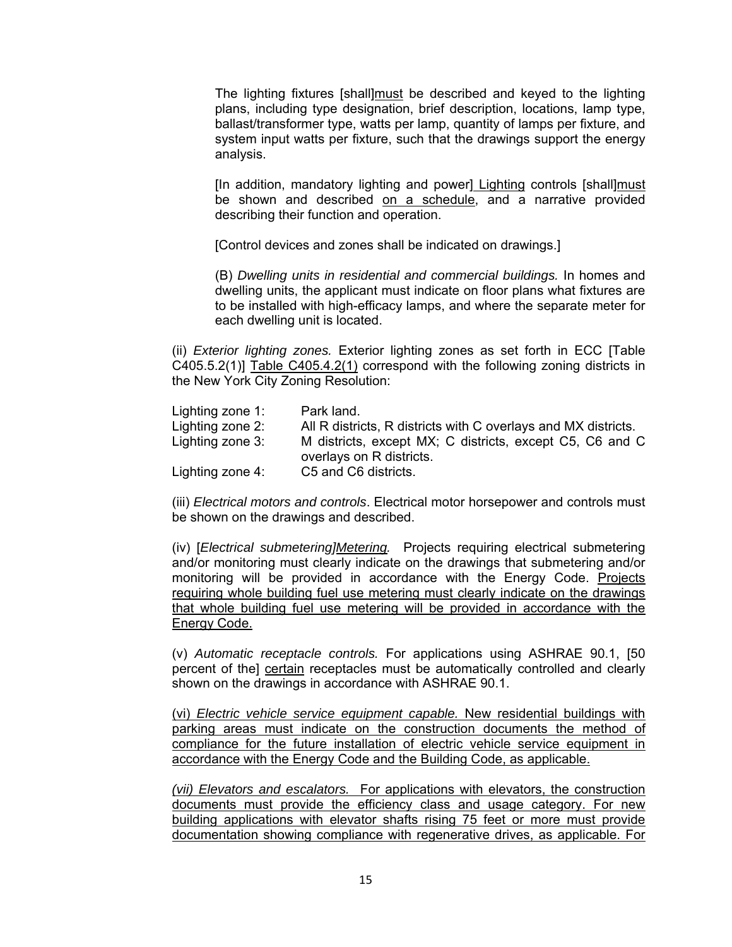The lighting fixtures [shall]must be described and keyed to the lighting plans, including type designation, brief description, locations, lamp type, ballast/transformer type, watts per lamp, quantity of lamps per fixture, and system input watts per fixture, such that the drawings support the energy analysis.

[In addition, mandatory lighting and power] Lighting controls [shall]must be shown and described on a schedule, and a narrative provided describing their function and operation.

[Control devices and zones shall be indicated on drawings.]

(B) *Dwelling units in residential and commercial buildings.* In homes and dwelling units, the applicant must indicate on floor plans what fixtures are to be installed with high-efficacy lamps, and where the separate meter for each dwelling unit is located.

(ii) *Exterior lighting zones.* Exterior lighting zones as set forth in ECC [Table C405.5.2(1)] Table C405.4.2(1) correspond with the following zoning districts in the New York City Zoning Resolution:

| Lighting zone 1: | Park land.                                                     |
|------------------|----------------------------------------------------------------|
| Lighting zone 2: | All R districts, R districts with C overlays and MX districts. |
| Lighting zone 3: | M districts, except MX; C districts, except C5, C6 and C       |
|                  | overlays on R districts.                                       |
| Lighting zone 4: | C5 and C6 districts.                                           |

(iii) *Electrical motors and controls*. Electrical motor horsepower and controls must be shown on the drawings and described.

(iv) [*Electrical submetering]Metering.* Projects requiring electrical submetering and/or monitoring must clearly indicate on the drawings that submetering and/or monitoring will be provided in accordance with the Energy Code. Projects requiring whole building fuel use metering must clearly indicate on the drawings that whole building fuel use metering will be provided in accordance with the Energy Code.

(v) *Automatic receptacle controls.* For applications using ASHRAE 90.1, [50 percent of the] certain receptacles must be automatically controlled and clearly shown on the drawings in accordance with ASHRAE 90.1.

(vi) *Electric vehicle service equipment capable.* New residential buildings with parking areas must indicate on the construction documents the method of compliance for the future installation of electric vehicle service equipment in accordance with the Energy Code and the Building Code, as applicable.

*(vii) Elevators and escalators.* For applications with elevators, the construction documents must provide the efficiency class and usage category. For new building applications with elevator shafts rising 75 feet or more must provide documentation showing compliance with regenerative drives, as applicable. For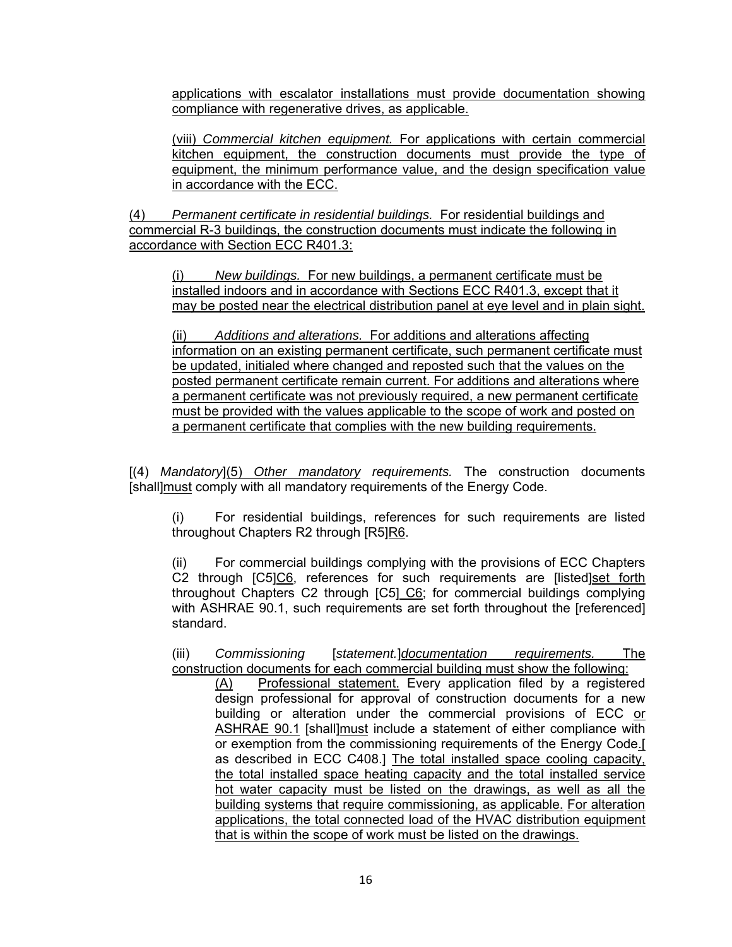applications with escalator installations must provide documentation showing compliance with regenerative drives, as applicable.

(viii) *Commercial kitchen equipment.* For applications with certain commercial kitchen equipment, the construction documents must provide the type of equipment, the minimum performance value, and the design specification value in accordance with the ECC.

(4) *Permanent certificate in residential buildings.* For residential buildings and commercial R-3 buildings, the construction documents must indicate the following in accordance with Section ECC R401.3:

(i) *New buildings.* For new buildings, a permanent certificate must be installed indoors and in accordance with Sections ECC R401.3, except that it may be posted near the electrical distribution panel at eye level and in plain sight.

(ii) *Additions and alterations.* For additions and alterations affecting information on an existing permanent certificate, such permanent certificate must be updated, initialed where changed and reposted such that the values on the posted permanent certificate remain current. For additions and alterations where a permanent certificate was not previously required, a new permanent certificate must be provided with the values applicable to the scope of work and posted on a permanent certificate that complies with the new building requirements.

[(4) *Mandatory*](5) *Other mandatory requirements.* The construction documents [shall]must comply with all mandatory requirements of the Energy Code.

(i) For residential buildings, references for such requirements are listed throughout Chapters R2 through [R5]R6.

(ii) For commercial buildings complying with the provisions of ECC Chapters C2 through [C5]C6, references for such requirements are [listed]set forth throughout Chapters C2 through [C5] C6; for commercial buildings complying with ASHRAE 90.1, such requirements are set forth throughout the [referenced] standard.

(iii) *Commissioning* [*statement.*]*documentation requirements.* The construction documents for each commercial building must show the following:

(A) Professional statement. Every application filed by a registered design professional for approval of construction documents for a new building or alteration under the commercial provisions of ECC or ASHRAE 90.1 [shall]must include a statement of either compliance with or exemption from the commissioning requirements of the Energy Code.[ as described in ECC C408.] The total installed space cooling capacity, the total installed space heating capacity and the total installed service hot water capacity must be listed on the drawings, as well as all the building systems that require commissioning, as applicable. For alteration applications, the total connected load of the HVAC distribution equipment that is within the scope of work must be listed on the drawings.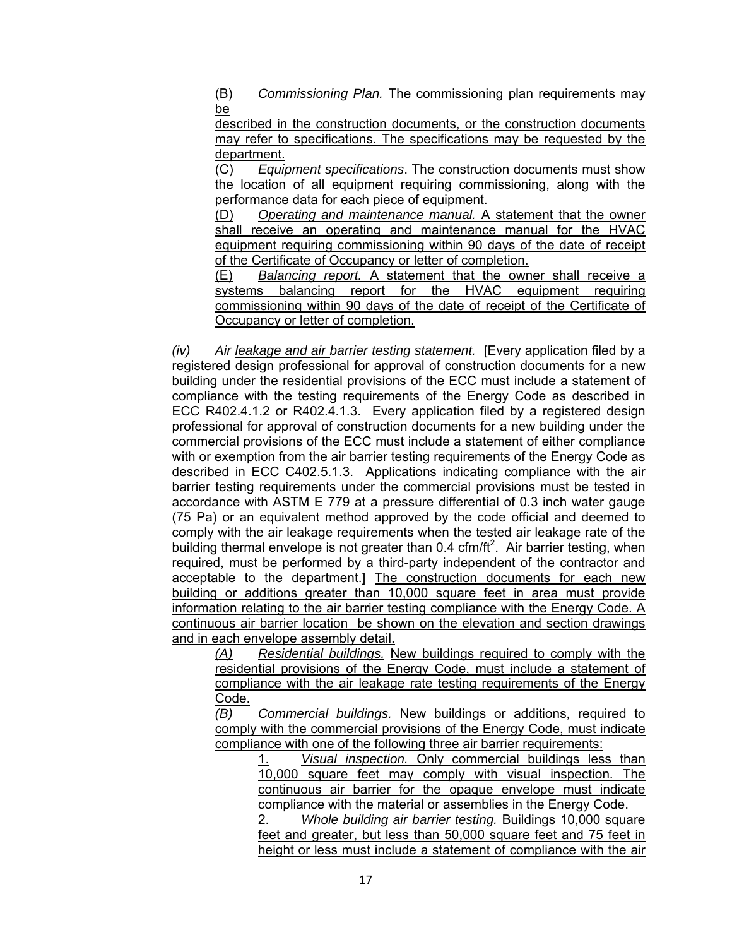(B) *Commissioning Plan.* The commissioning plan requirements may be

described in the construction documents, or the construction documents may refer to specifications. The specifications may be requested by the department.

(C) *Equipment specifications*. The construction documents must show the location of all equipment requiring commissioning, along with the performance data for each piece of equipment.

(D) *Operating and maintenance manual.* A statement that the owner shall receive an operating and maintenance manual for the HVAC equipment requiring commissioning within 90 days of the date of receipt of the Certificate of Occupancy or letter of completion.

(E) *Balancing report.* A statement that the owner shall receive a systems balancing report for the HVAC equipment requiring commissioning within 90 days of the date of receipt of the Certificate of Occupancy or letter of completion.

*(iv) Air leakage and air barrier testing statement.* [Every application filed by a registered design professional for approval of construction documents for a new building under the residential provisions of the ECC must include a statement of compliance with the testing requirements of the Energy Code as described in ECC R402.4.1.2 or R402.4.1.3. Every application filed by a registered design professional for approval of construction documents for a new building under the commercial provisions of the ECC must include a statement of either compliance with or exemption from the air barrier testing requirements of the Energy Code as described in ECC C402.5.1.3. Applications indicating compliance with the air barrier testing requirements under the commercial provisions must be tested in accordance with ASTM E 779 at a pressure differential of 0.3 inch water gauge (75 Pa) or an equivalent method approved by the code official and deemed to comply with the air leakage requirements when the tested air leakage rate of the building thermal envelope is not greater than 0.4 cfm/ft<sup>2</sup>. Air barrier testing, when required, must be performed by a third-party independent of the contractor and acceptable to the department.] The construction documents for each new building or additions greater than 10,000 square feet in area must provide information relating to the air barrier testing compliance with the Energy Code. A continuous air barrier location be shown on the elevation and section drawings and in each envelope assembly detail.

*(A) Residential buildings.* New buildings required to comply with the residential provisions of the Energy Code, must include a statement of compliance with the air leakage rate testing requirements of the Energy Code.

*(B) Commercial buildings.* New buildings or additions, required to comply with the commercial provisions of the Energy Code, must indicate compliance with one of the following three air barrier requirements:

1. *Visual inspection.* Only commercial buildings less than 10,000 square feet may comply with visual inspection. The continuous air barrier for the opaque envelope must indicate compliance with the material or assemblies in the Energy Code.

2. *Whole building air barrier testing.* Buildings 10,000 square feet and greater, but less than 50,000 square feet and 75 feet in height or less must include a statement of compliance with the air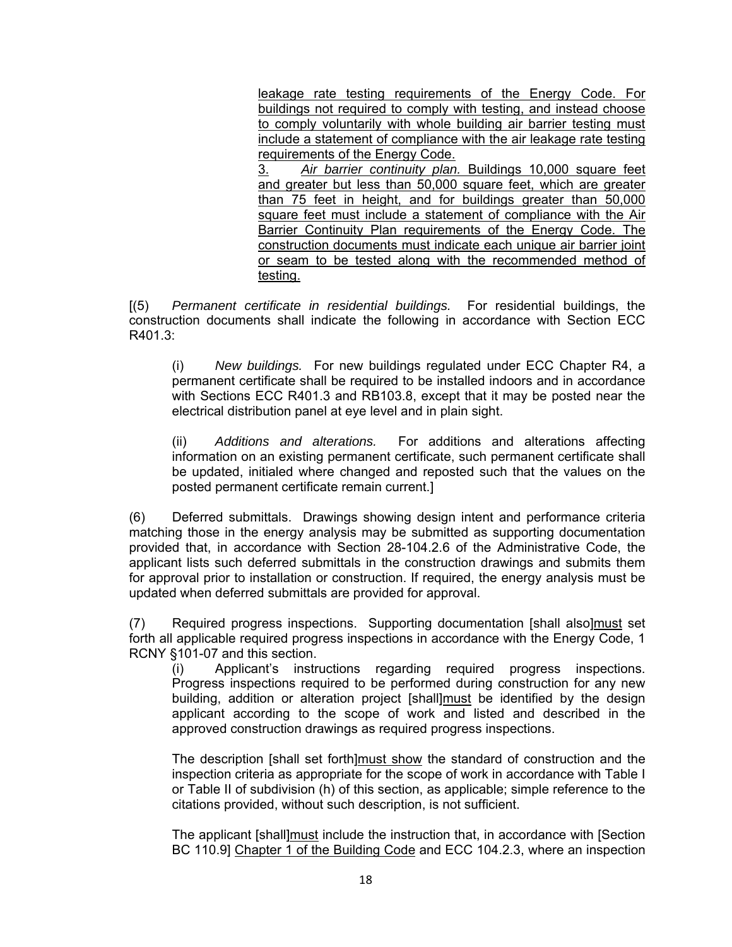leakage rate testing requirements of the Energy Code. For buildings not required to comply with testing, and instead choose to comply voluntarily with whole building air barrier testing must include a statement of compliance with the air leakage rate testing requirements of the Energy Code.

3. *Air barrier continuity plan.* Buildings 10,000 square feet and greater but less than 50,000 square feet, which are greater than 75 feet in height, and for buildings greater than 50,000 square feet must include a statement of compliance with the Air Barrier Continuity Plan requirements of the Energy Code. The construction documents must indicate each unique air barrier joint or seam to be tested along with the recommended method of testing.

[(5) *Permanent certificate in residential buildings.* For residential buildings, the construction documents shall indicate the following in accordance with Section ECC R401.3:

(i) *New buildings.* For new buildings regulated under ECC Chapter R4, a permanent certificate shall be required to be installed indoors and in accordance with Sections ECC R401.3 and RB103.8, except that it may be posted near the electrical distribution panel at eye level and in plain sight.

(ii) *Additions and alterations.* For additions and alterations affecting information on an existing permanent certificate, such permanent certificate shall be updated, initialed where changed and reposted such that the values on the posted permanent certificate remain current.]

(6) Deferred submittals. Drawings showing design intent and performance criteria matching those in the energy analysis may be submitted as supporting documentation provided that, in accordance with Section 28-104.2.6 of the Administrative Code, the applicant lists such deferred submittals in the construction drawings and submits them for approval prior to installation or construction. If required, the energy analysis must be updated when deferred submittals are provided for approval.

(7) Required progress inspections. Supporting documentation [shall also]must set forth all applicable required progress inspections in accordance with the Energy Code, 1 RCNY §101-07 and this section.

(i) Applicant's instructions regarding required progress inspections. Progress inspections required to be performed during construction for any new building, addition or alteration project [shall]must be identified by the design applicant according to the scope of work and listed and described in the approved construction drawings as required progress inspections.

The description [shall set forth]must show the standard of construction and the inspection criteria as appropriate for the scope of work in accordance with Table I or Table II of subdivision (h) of this section, as applicable; simple reference to the citations provided, without such description, is not sufficient.

The applicant [shall]must include the instruction that, in accordance with [Section BC 110.9] Chapter 1 of the Building Code and ECC 104.2.3, where an inspection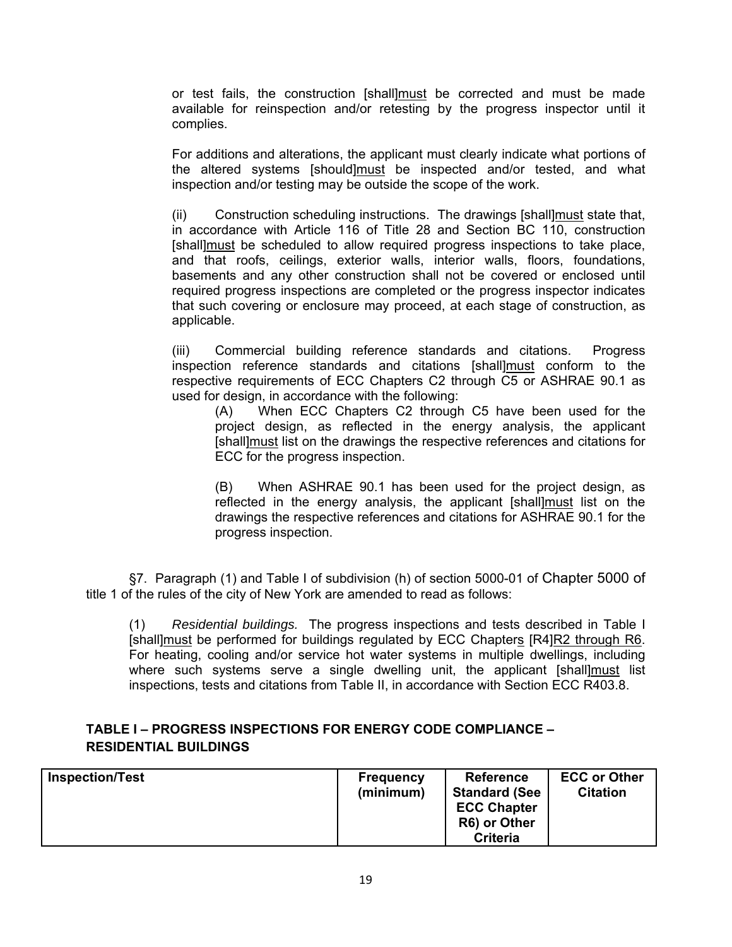or test fails, the construction [shall]must be corrected and must be made available for reinspection and/or retesting by the progress inspector until it complies.

For additions and alterations, the applicant must clearly indicate what portions of the altered systems [should]must be inspected and/or tested, and what inspection and/or testing may be outside the scope of the work.

(ii) Construction scheduling instructions. The drawings [shall] must state that, in accordance with Article 116 of Title 28 and Section BC 110, construction [shall]must be scheduled to allow required progress inspections to take place, and that roofs, ceilings, exterior walls, interior walls, floors, foundations, basements and any other construction shall not be covered or enclosed until required progress inspections are completed or the progress inspector indicates that such covering or enclosure may proceed, at each stage of construction, as applicable.

(iii) Commercial building reference standards and citations. Progress inspection reference standards and citations [shall]must conform to the respective requirements of ECC Chapters C2 through C5 or ASHRAE 90.1 as used for design, in accordance with the following:

(A) When ECC Chapters C2 through C5 have been used for the project design, as reflected in the energy analysis, the applicant [shall]must list on the drawings the respective references and citations for ECC for the progress inspection.

(B) When ASHRAE 90.1 has been used for the project design, as reflected in the energy analysis, the applicant [shall]must list on the drawings the respective references and citations for ASHRAE 90.1 for the progress inspection.

§7. Paragraph (1) and Table I of subdivision (h) of section 5000-01 of Chapter 5000 of title 1 of the rules of the city of New York are amended to read as follows:

(1) *Residential buildings.* The progress inspections and tests described in Table I [shall]must be performed for buildings regulated by ECC Chapters [R4]R2 through R6. For heating, cooling and/or service hot water systems in multiple dwellings, including where such systems serve a single dwelling unit, the applicant [shall]must list inspections, tests and citations from Table II, in accordance with Section ECC R403.8.

### **TABLE I – PROGRESS INSPECTIONS FOR ENERGY CODE COMPLIANCE – RESIDENTIAL BUILDINGS**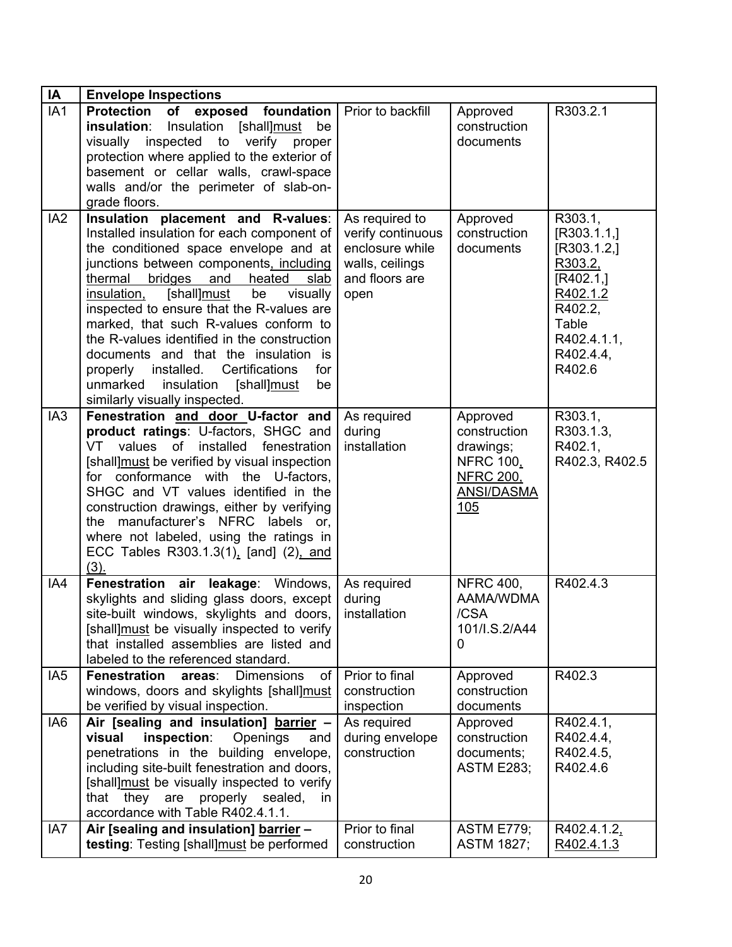| IA              | <b>Envelope Inspections</b>                                                                                                                                                                                                                                                                                                                                                                                                                                                                                                                                                   |                                                                                                     |                                                                                                    |                                                                                                                                  |
|-----------------|-------------------------------------------------------------------------------------------------------------------------------------------------------------------------------------------------------------------------------------------------------------------------------------------------------------------------------------------------------------------------------------------------------------------------------------------------------------------------------------------------------------------------------------------------------------------------------|-----------------------------------------------------------------------------------------------------|----------------------------------------------------------------------------------------------------|----------------------------------------------------------------------------------------------------------------------------------|
| IA1             | Protection of exposed foundation<br>insulation:<br>Insulation [shall]must<br>be<br>visually inspected to verify<br>proper<br>protection where applied to the exterior of<br>basement or cellar walls, crawl-space<br>walls and/or the perimeter of slab-on-<br>grade floors.                                                                                                                                                                                                                                                                                                  | Prior to backfill                                                                                   | Approved<br>construction<br>documents                                                              | R303.2.1                                                                                                                         |
| IA <sub>2</sub> | Insulation placement and R-values:<br>Installed insulation for each component of<br>the conditioned space envelope and at<br>junctions between components, including<br>bridges<br>and<br>heated<br>thermal<br>slab<br>[shall]must<br>insulation,<br>be<br>visually<br>inspected to ensure that the R-values are<br>marked, that such R-values conform to<br>the R-values identified in the construction<br>documents and that the insulation is<br>properly installed. Certifications<br>for<br>insulation<br>unmarked<br>[shall]must<br>be<br>similarly visually inspected. | As required to<br>verify continuous<br>enclosure while<br>walls, ceilings<br>and floors are<br>open | Approved<br>construction<br>documents                                                              | R303.1,<br>[R303.1.1]<br>[R303.1.2]<br>R303.2,<br>[R402.1]<br>R402.1.2<br>R402.2.<br>Table<br>R402.4.1.1,<br>R402.4.4,<br>R402.6 |
| IA <sub>3</sub> | Fenestration and door U-factor and<br>product ratings: U-factors, SHGC and<br>installed<br>VT<br>values of<br>fenestration<br>[shall] must be verified by visual inspection<br>for conformance with the U-factors,<br>SHGC and VT values identified in the<br>construction drawings, either by verifying<br>the manufacturer's NFRC labels or,<br>where not labeled, using the ratings in<br>ECC Tables R303.1.3(1), [and] (2), and<br>(3).                                                                                                                                   | As required<br>during<br>installation                                                               | Approved<br>construction<br>drawings;<br><b>NFRC 100,</b><br><b>NFRC 200,</b><br>ANSI/DASMA<br>105 | R303.1,<br>R303.1.3,<br>R402.1.<br>R402.3, R402.5                                                                                |
| IA4             | Fenestration air leakage: Windows,<br>skylights and sliding glass doors, except<br>site-built windows, skylights and doors,<br>[shall] must be visually inspected to verify<br>that installed assemblies are listed and<br>labeled to the referenced standard.                                                                                                                                                                                                                                                                                                                | As required<br>during<br>installation                                                               | <b>NFRC 400,</b><br>AAMA/WDMA<br>/CSA<br>101/I.S.2/A44<br>$\Omega$                                 | R402.4.3                                                                                                                         |
| IA <sub>5</sub> | <b>Fenestration</b><br><b>Dimensions</b><br>areas:<br>of<br>windows, doors and skylights [shall]must<br>be verified by visual inspection.                                                                                                                                                                                                                                                                                                                                                                                                                                     | Prior to final<br>construction<br>inspection                                                        | Approved<br>construction<br>documents                                                              | R402.3                                                                                                                           |
| IA <sub>6</sub> | Air [sealing and insulation] barrier -<br>inspection:<br>visual<br>Openings<br>and<br>penetrations in the building envelope,<br>including site-built fenestration and doors,<br>[shall] must be visually inspected to verify<br>properly sealed,<br>that<br>they<br>are<br>in.<br>accordance with Table R402.4.1.1.                                                                                                                                                                                                                                                           | As required<br>during envelope<br>construction                                                      | Approved<br>construction<br>documents;<br><b>ASTM E283;</b>                                        | R402.4.1,<br>R402.4.4,<br>R402.4.5,<br>R402.4.6                                                                                  |
| IA7             | Air [sealing and insulation] barrier -<br>testing: Testing [shall]must be performed                                                                                                                                                                                                                                                                                                                                                                                                                                                                                           | Prior to final<br>construction                                                                      | <b>ASTM E779;</b><br><b>ASTM 1827;</b>                                                             | R402.4.1.2.<br>R402.4.1.3                                                                                                        |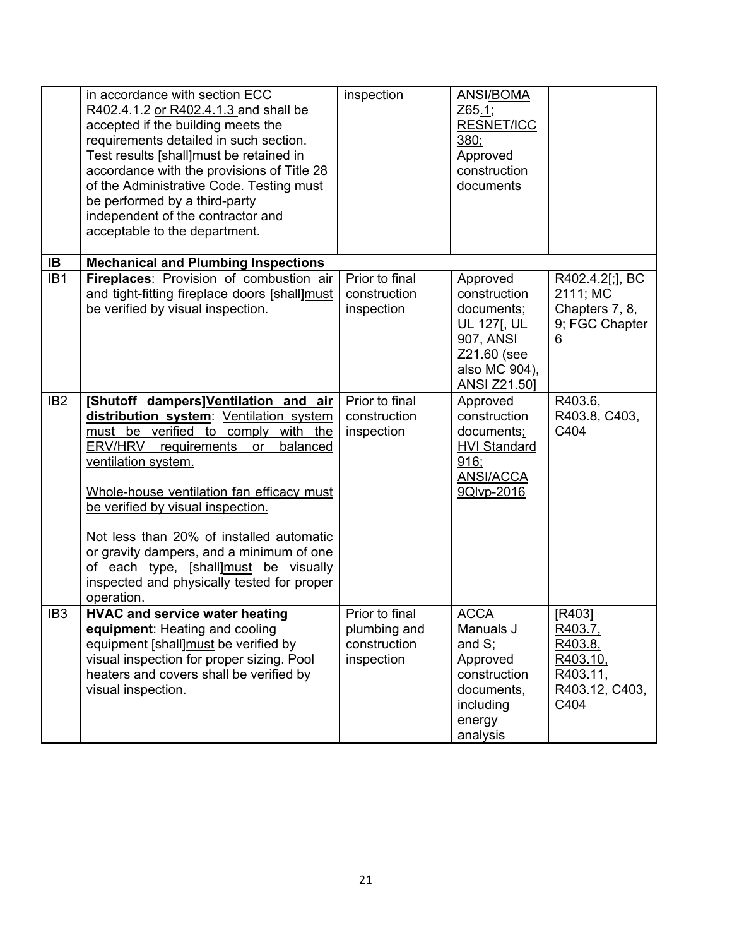|                 | in accordance with section ECC<br>R402.4.1.2 or R402.4.1.3 and shall be<br>accepted if the building meets the<br>requirements detailed in such section.<br>Test results [shall]must be retained in<br>accordance with the provisions of Title 28<br>of the Administrative Code. Testing must<br>be performed by a third-party<br>independent of the contractor and<br>acceptable to the department.                                                                          | inspection                                                   | ANSI/BOMA<br>Z65.1;<br><b>RESNET/ICC</b><br>380;<br>Approved<br>construction<br>documents                                 |                                                                                |
|-----------------|------------------------------------------------------------------------------------------------------------------------------------------------------------------------------------------------------------------------------------------------------------------------------------------------------------------------------------------------------------------------------------------------------------------------------------------------------------------------------|--------------------------------------------------------------|---------------------------------------------------------------------------------------------------------------------------|--------------------------------------------------------------------------------|
| IB              | <b>Mechanical and Plumbing Inspections</b>                                                                                                                                                                                                                                                                                                                                                                                                                                   |                                                              |                                                                                                                           |                                                                                |
| IB <sub>1</sub> | Fireplaces: Provision of combustion air<br>and tight-fitting fireplace doors [shall]must<br>be verified by visual inspection.                                                                                                                                                                                                                                                                                                                                                | Prior to final<br>construction<br>inspection                 | Approved<br>construction<br>documents;<br><b>UL 127[, UL</b><br>907, ANSI<br>Z21.60 (see<br>also MC 904),<br>ANSI Z21.50] | R402.4.2[;], BC<br>2111; MC<br>Chapters 7, 8,<br>9; FGC Chapter<br>6           |
| IB <sub>2</sub> | [Shutoff dampers]Ventilation and air<br>distribution system: Ventilation system<br>must be verified to comply<br>with the<br>ERV/HRV<br>requirements<br>balanced<br>or<br>ventilation system.<br>Whole-house ventilation fan efficacy must<br>be verified by visual inspection.<br>Not less than 20% of installed automatic<br>or gravity dampers, and a minimum of one<br>of each type, [shall]must be visually<br>inspected and physically tested for proper<br>operation. | Prior to final<br>construction<br>inspection                 | Approved<br>construction<br>documents;<br><b>HVI Standard</b><br>916;<br><b>ANSI/ACCA</b><br>9Qlvp-2016                   | R403.6,<br>R403.8, C403,<br>C404                                               |
| IB <sub>3</sub> | <b>HVAC and service water heating</b><br>equipment: Heating and cooling<br>equipment [shall]must be verified by<br>visual inspection for proper sizing. Pool<br>heaters and covers shall be verified by<br>visual inspection.                                                                                                                                                                                                                                                | Prior to final<br>plumbing and<br>construction<br>inspection | <b>ACCA</b><br>Manuals J<br>and $S$ ;<br>Approved<br>construction<br>documents,<br>including<br>energy<br>analysis        | [R403]<br>R403.7,<br>R403.8,<br>R403.10,<br>R403.11,<br>R403.12, C403,<br>C404 |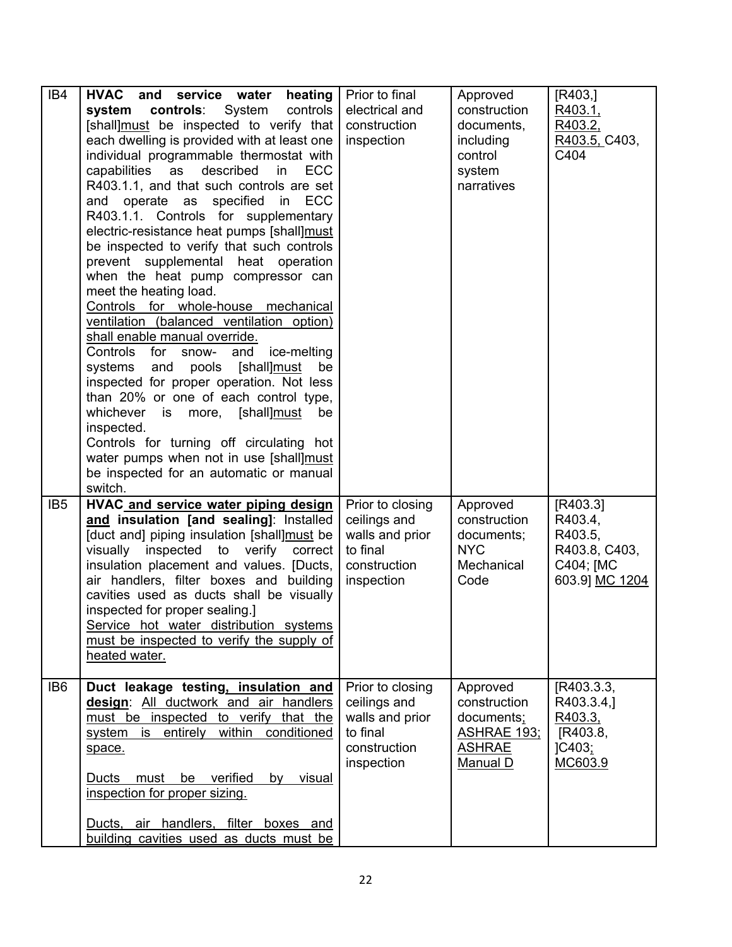| IB4             | HVAC and service water<br>heating<br>system controls: System<br>controls<br>[shall]must be inspected to verify that<br>each dwelling is provided with at least one<br>individual programmable thermostat with<br>capabilities<br>as<br>described<br><b>ECC</b><br>in<br>R403.1.1, and that such controls are set<br>operate as<br>specified<br>in<br><b>ECC</b><br>and<br>R403.1.1. Controls for supplementary<br>electric-resistance heat pumps [shall]must<br>be inspected to verify that such controls<br>prevent supplemental heat operation<br>when the heat pump compressor can<br>meet the heating load.<br>Controls for whole-house mechanical<br>ventilation (balanced ventilation option)<br>shall enable manual override.<br>Controls for<br>snow-<br>and<br>ice-melting<br>systems and pools [shall]must<br>be<br>inspected for proper operation. Not less<br>than 20% or one of each control type,<br>whichever is more, [shall]must<br>be<br>inspected.<br>Controls for turning off circulating hot<br>water pumps when not in use [shall]must<br>be inspected for an automatic or manual<br>switch. | Prior to final<br>electrical and<br>construction<br>inspection                                | Approved<br>construction<br>documents,<br>including<br>control<br>system<br>narratives    | [R403.]<br>R403.1,<br>R403.2,<br>R403.5, C403,<br>C404                         |
|-----------------|--------------------------------------------------------------------------------------------------------------------------------------------------------------------------------------------------------------------------------------------------------------------------------------------------------------------------------------------------------------------------------------------------------------------------------------------------------------------------------------------------------------------------------------------------------------------------------------------------------------------------------------------------------------------------------------------------------------------------------------------------------------------------------------------------------------------------------------------------------------------------------------------------------------------------------------------------------------------------------------------------------------------------------------------------------------------------------------------------------------------|-----------------------------------------------------------------------------------------------|-------------------------------------------------------------------------------------------|--------------------------------------------------------------------------------|
| IB <sub>5</sub> | HVAC and service water piping design<br>and insulation [and sealing]: Installed<br>[duct and] piping insulation [shall]must be<br>visually inspected to verify correct<br>insulation placement and values. [Ducts,<br>air handlers, filter boxes and building<br>cavities used as ducts shall be visually<br>inspected for proper sealing.]<br>Service hot water distribution systems<br>must be inspected to verify the supply of<br>heated water.                                                                                                                                                                                                                                                                                                                                                                                                                                                                                                                                                                                                                                                                | Prior to closing<br>ceilings and<br>walls and prior<br>to final<br>construction<br>inspection | Approved<br>construction<br>documents;<br><b>NYC</b><br>Mechanical<br>Code                | [R403.3]<br>R403.4,<br>R403.5,<br>R403.8, C403,<br>C404; [MC<br>603.9] MC 1204 |
| IB6             | Duct leakage testing, insulation and<br>design: All ductwork and air handlers<br>must be inspected to verify that the<br>system is entirely within conditioned<br>space.<br>Ducts<br>must be verified<br>visual<br>by<br>inspection for proper sizing.<br>Ducts, air handlers, filter boxes and<br>building cavities used as ducts must be                                                                                                                                                                                                                                                                                                                                                                                                                                                                                                                                                                                                                                                                                                                                                                         | Prior to closing<br>ceilings and<br>walls and prior<br>to final<br>construction<br>inspection | Approved<br>construction<br>documents;<br><b>ASHRAE 193:</b><br><b>ASHRAE</b><br>Manual D | [R403.3.3]<br>R403.3.4,<br>R403.3,<br>[R403.8,<br>JC403;<br>MC603.9            |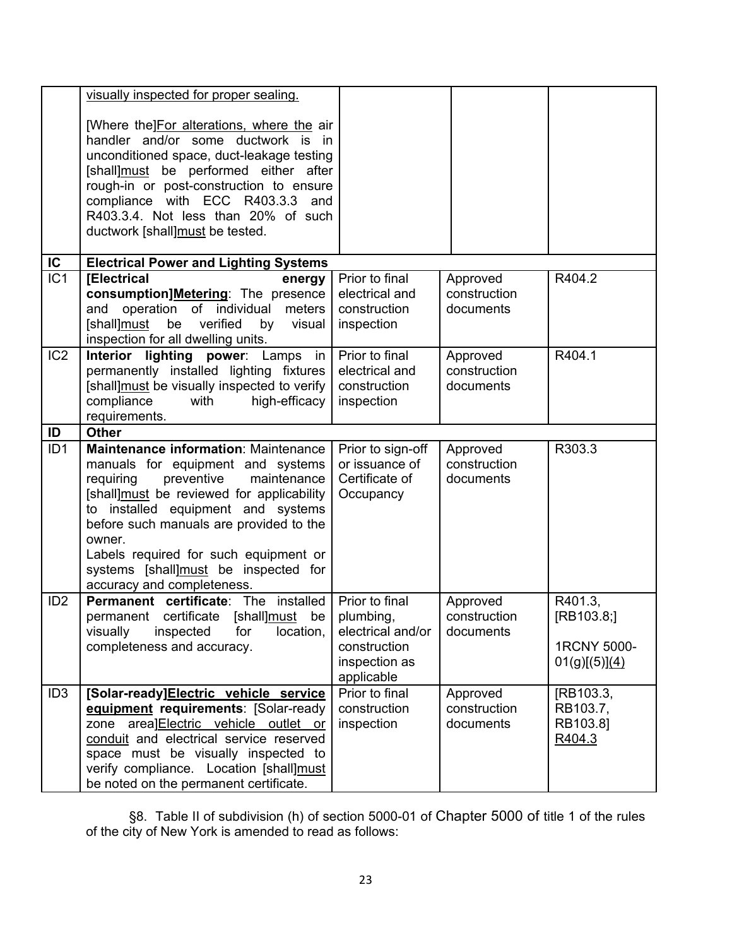|                 | visually inspected for proper sealing.                                                                                                                                                                                                                                                                                                                                     |                                                                    |                                       |                                                       |
|-----------------|----------------------------------------------------------------------------------------------------------------------------------------------------------------------------------------------------------------------------------------------------------------------------------------------------------------------------------------------------------------------------|--------------------------------------------------------------------|---------------------------------------|-------------------------------------------------------|
|                 | [Where the]For alterations, where the air<br>handler and/or some ductwork is in<br>unconditioned space, duct-leakage testing<br>[shall]must be performed either after<br>rough-in or post-construction to ensure<br>compliance with ECC R403.3.3<br>and<br>R403.3.4. Not less than 20% of such<br>ductwork [shall]must be tested.                                          |                                                                    |                                       |                                                       |
| $\overline{C}$  | <b>Electrical Power and Lighting Systems</b>                                                                                                                                                                                                                                                                                                                               |                                                                    |                                       |                                                       |
| IC <sub>1</sub> | <b>[Electrical</b><br>energy<br>consumption]Metering: The presence<br>and<br>operation of individual<br>meters<br>[shall]must<br>be verified<br>visual<br>by<br>inspection for all dwelling units.                                                                                                                                                                         | Prior to final<br>electrical and<br>construction<br>inspection     | Approved<br>construction<br>documents | R404.2                                                |
| IC <sub>2</sub> | Interior lighting power: Lamps in<br>permanently installed lighting fixtures<br>[shall]must be visually inspected to verify<br>compliance<br>high-efficacy<br>with<br>requirements.                                                                                                                                                                                        | Prior to final<br>electrical and<br>construction<br>inspection     | Approved<br>construction<br>documents | R404.1                                                |
| ID              | <b>Other</b>                                                                                                                                                                                                                                                                                                                                                               |                                                                    |                                       |                                                       |
| ID <sub>1</sub> | Maintenance information: Maintenance<br>manuals for equipment and systems<br>requiring<br>preventive<br>maintenance<br>[shall]must be reviewed for applicability<br>to installed equipment and systems<br>before such manuals are provided to the<br>owner.<br>Labels required for such equipment or<br>systems [shall]must be inspected for<br>accuracy and completeness. | Prior to sign-off<br>or issuance of<br>Certificate of<br>Occupancy | Approved<br>construction<br>documents | R303.3                                                |
| ID <sub>2</sub> | <b>Permanent certificate:</b> The installed   Prior to final<br>permanent certificate [shall]must be   plumbing,<br>location,<br>visually<br>inspected<br>for<br>completeness and accuracy.                                                                                                                                                                                | electrical and/or<br>construction<br>inspection as<br>applicable   | Approved<br>construction<br>documents | R401.3,<br>[RB103.8;]<br>1RCNY 5000-<br>01(g)[(5)](4) |
| ID <sub>3</sub> | [Solar-ready]Electric vehicle service<br>equipment requirements: [Solar-ready<br>zone area]Electric vehicle outlet or<br>conduit and electrical service reserved<br>space must be visually inspected to<br>verify compliance. Location [shall]must<br>be noted on the permanent certificate.                                                                               | Prior to final<br>construction<br>inspection                       | Approved<br>construction<br>documents | [RB103.3,<br>RB103.7,<br>RB103.8]<br>R404.3           |

§8. Table II of subdivision (h) of section 5000-01 of Chapter 5000 of title 1 of the rules of the city of New York is amended to read as follows: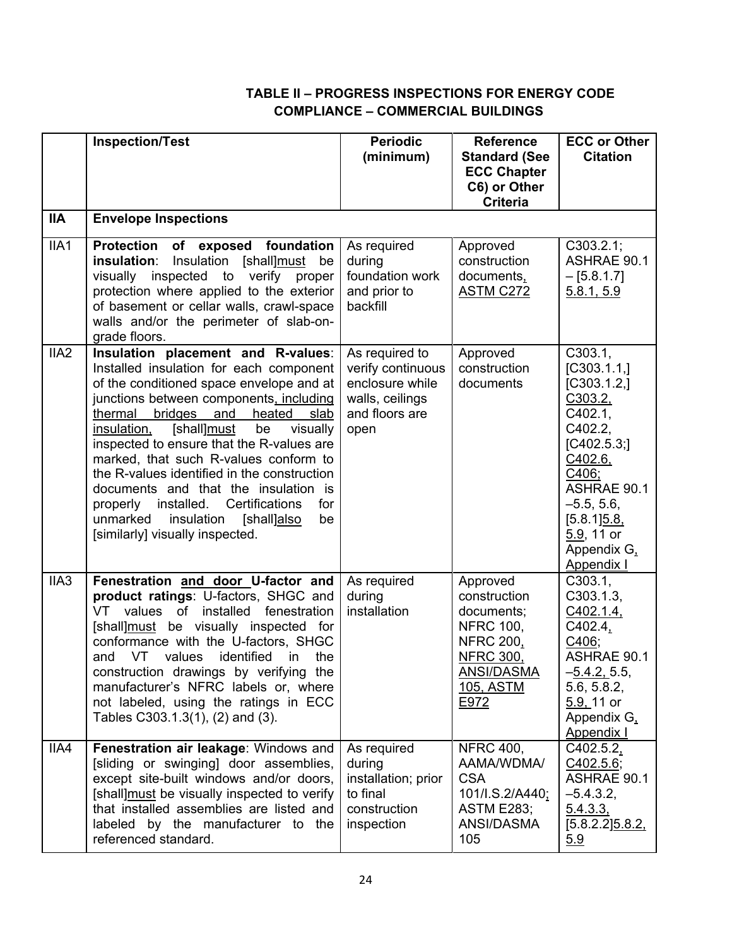# **TABLE II – PROGRESS INSPECTIONS FOR ENERGY CODE COMPLIANCE – COMMERCIAL BUILDINGS**

|                  | <b>Inspection/Test</b>                                                                                                                                                                                                                                                                                                                                                                                                                                                                                                                                                                | <b>Periodic</b><br>(minimum)                                                                        | <b>Reference</b><br><b>Standard (See</b><br><b>ECC Chapter</b>                                                                               | <b>ECC or Other</b><br><b>Citation</b>                                                                                                                                                                      |
|------------------|---------------------------------------------------------------------------------------------------------------------------------------------------------------------------------------------------------------------------------------------------------------------------------------------------------------------------------------------------------------------------------------------------------------------------------------------------------------------------------------------------------------------------------------------------------------------------------------|-----------------------------------------------------------------------------------------------------|----------------------------------------------------------------------------------------------------------------------------------------------|-------------------------------------------------------------------------------------------------------------------------------------------------------------------------------------------------------------|
|                  |                                                                                                                                                                                                                                                                                                                                                                                                                                                                                                                                                                                       |                                                                                                     | C6) or Other<br><b>Criteria</b>                                                                                                              |                                                                                                                                                                                                             |
| <b>IIA</b>       | <b>Envelope Inspections</b>                                                                                                                                                                                                                                                                                                                                                                                                                                                                                                                                                           |                                                                                                     |                                                                                                                                              |                                                                                                                                                                                                             |
| IIA1             | <b>Protection</b><br>of exposed foundation<br>insulation:<br>Insulation [shall]must<br>be<br>inspected to<br>visually<br>verify proper<br>protection where applied to the exterior<br>of basement or cellar walls, crawl-space<br>walls and/or the perimeter of slab-on-<br>grade floors.                                                                                                                                                                                                                                                                                             | As required<br>during<br>foundation work<br>and prior to<br>backfill                                | Approved<br>construction<br>documents,<br><b>ASTM C272</b>                                                                                   | C303.2.1;<br><b>ASHRAE 90.1</b><br>$-[5.8.1.7]$<br>5.8.1, 5.9                                                                                                                                               |
| IIA <sub>2</sub> | Insulation placement and R-values:<br>Installed insulation for each component<br>of the conditioned space envelope and at<br>junctions between components, including<br>bridges<br>heated<br>thermal<br>and<br>slab<br>[shall]must<br>be<br>visually<br>insulation,<br>inspected to ensure that the R-values are<br>marked, that such R-values conform to<br>the R-values identified in the construction<br>documents and that the insulation is<br>installed.<br>Certifications<br>for<br>properly<br>unmarked<br>insulation<br>[shall]also<br>be<br>[similarly] visually inspected. | As required to<br>verify continuous<br>enclosure while<br>walls, ceilings<br>and floors are<br>open | Approved<br>construction<br>documents                                                                                                        | C303.1,<br>[C303.1.1,]<br>[C303.1.2]<br>C303.2,<br>C402.1,<br>C402.2,<br>[C402.5.3]<br>C402.6,<br>C406;<br>ASHRAE 90.1<br>$-5.5, 5.6,$<br>$[5.8.1]$ $5.8$<br>5.9, 11 or<br>Appendix G.<br><b>Appendix I</b> |
| IIA <sub>3</sub> | Fenestration and door U-factor and<br>product ratings: U-factors, SHGC and<br>values<br>of<br>VT.<br>installed<br>fenestration<br>[shall]must be visually inspected for<br>conformance with the U-factors, SHGC<br><b>VT</b><br>identified<br>the<br>and<br>values<br>in<br>construction drawings by verifying the<br>manufacturer's NFRC labels or, where<br>not labeled, using the ratings in ECC<br>Tables C303.1.3(1), (2) and (3).                                                                                                                                               | As required<br>during<br>installation                                                               | Approved<br>construction<br>documents;<br><b>NFRC 100.</b><br><b>NFRC 200,</b><br><b>NFRC 300,</b><br><b>ANSI/DASMA</b><br>105, ASTM<br>E972 | C303.1<br>C303.1.3,<br>C402.1.4,<br>C402.4,<br>C406;<br><b>ASHRAE 90.1</b><br>$-5.4.2, 5.5,$<br>5.6, 5.8.2,<br>5.9, 11 or<br>Appendix G.<br><b>Appendix I</b>                                               |
| IIA4             | Fenestration air leakage: Windows and<br>[sliding or swinging] door assemblies,<br>except site-built windows and/or doors,<br>[shall] must be visually inspected to verify<br>that installed assemblies are listed and<br>labeled by the manufacturer to the<br>referenced standard.                                                                                                                                                                                                                                                                                                  | As required<br>during<br>installation; prior<br>to final<br>construction<br>inspection              | <b>NFRC 400,</b><br>AAMA/WDMA/<br><b>CSA</b><br>101/I.S.2/A440;<br><b>ASTM E283;</b><br>ANSI/DASMA<br>105                                    | C402.5.2.<br>C402.5.6;<br>ASHRAE 90.1<br>$-5.4.3.2,$<br>5.4.3.3<br>$[5.8.2.2]$ $5.8.2$<br>5.9                                                                                                               |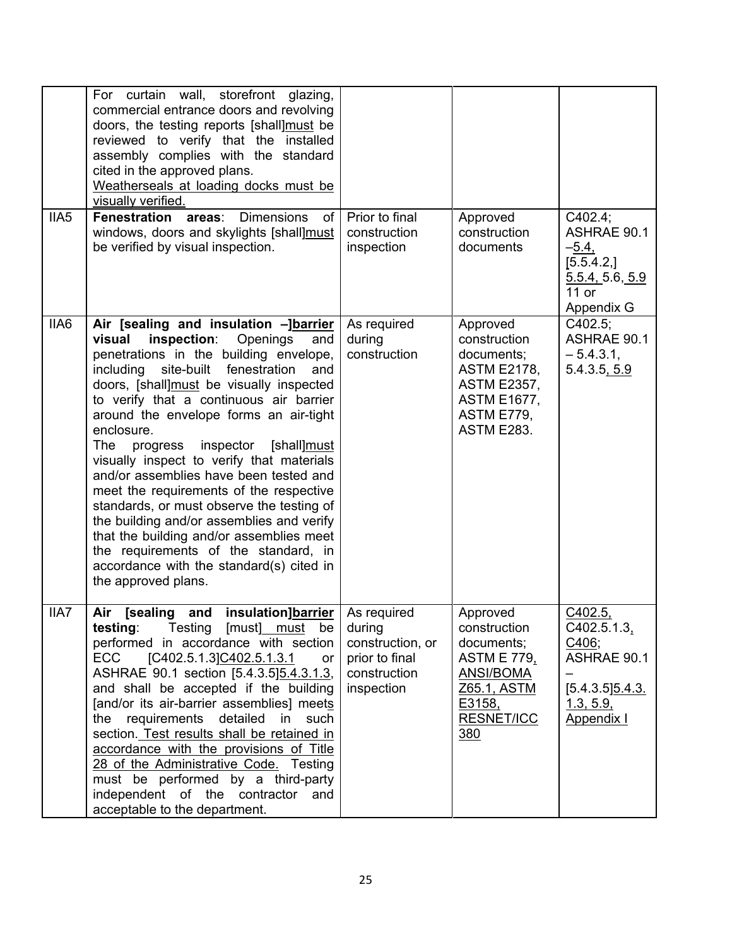| IIA <sub>5</sub> | For curtain wall, storefront glazing,<br>commercial entrance doors and revolving<br>doors, the testing reports [shall]must be<br>reviewed to verify that the installed<br>assembly complies with the standard<br>cited in the approved plans.<br>Weatherseals at loading docks must be<br>visually verified.<br><b>Fenestration areas:</b><br><b>Dimensions</b><br>of<br>windows, doors and skylights [shall]must<br>be verified by visual inspection.                                                                                                                                                                                                                                                                                                         | Prior to final<br>construction<br>inspection                               | Approved<br>construction<br>documents                                                                                                              | C402.4;<br><b>ASHRAE 90.1</b><br>$-5.4,$<br>[5.5.4.2]<br>5.5.4, 5.6, 5.9<br>$11$ or<br>Appendix G               |
|------------------|----------------------------------------------------------------------------------------------------------------------------------------------------------------------------------------------------------------------------------------------------------------------------------------------------------------------------------------------------------------------------------------------------------------------------------------------------------------------------------------------------------------------------------------------------------------------------------------------------------------------------------------------------------------------------------------------------------------------------------------------------------------|----------------------------------------------------------------------------|----------------------------------------------------------------------------------------------------------------------------------------------------|-----------------------------------------------------------------------------------------------------------------|
| IIA <sub>6</sub> | Air [sealing and insulation -]barrier<br>inspection:<br>Openings<br>visual<br>and<br>penetrations in the building envelope,<br>including<br>site-built<br>fenestration<br>and<br>doors, [shall]must be visually inspected<br>to verify that a continuous air barrier<br>around the envelope forms an air-tight<br>enclosure.<br>inspector<br>The<br>[shall]must<br>progress<br>visually inspect to verify that materials<br>and/or assemblies have been tested and<br>meet the requirements of the respective<br>standards, or must observe the testing of<br>the building and/or assemblies and verify<br>that the building and/or assemblies meet<br>the requirements of the standard, in<br>accordance with the standard(s) cited in<br>the approved plans. | As required<br>during<br>construction                                      | Approved<br>construction<br>documents;<br><b>ASTM E2178,</b><br><b>ASTM E2357,</b><br><b>ASTM E1677,</b><br><b>ASTM E779,</b><br><b>ASTM E283.</b> | C402.5;<br>ASHRAE 90.1<br>$-5.4.3.1$<br>5.4.3.5, 5.9                                                            |
| IIA7             | <b>insulation]barrier</b>   As required<br><b>Sealing</b><br>Air<br>and<br><b>testing:</b> Testing [must] must be<br>performed in accordance with section<br>ECC<br>[C402.5.1.3]C402.5.1.3.1<br>or<br>ASHRAE 90.1 section [5.4.3.5] 5.4.3.1.3,<br>and shall be accepted if the building<br>[and/or its air-barrier assemblies] meets<br>the requirements detailed in such<br>section. Test results shall be retained in<br>accordance with the provisions of Title<br>28 of the Administrative Code. Testing<br>must be performed by a third-party<br>independent of the contractor and<br>acceptable to the department.                                                                                                                                       | during<br>construction, or<br>prior to final<br>construction<br>inspection | Approved<br>construction<br>documents;<br><b>ASTM E 779,</b><br><b>ANSI/BOMA</b><br>Z65.1, ASTM<br>E3158,<br>RESNET/ICC<br>380                     | C402.5,<br>$C402.5.1.3$ <sub>1</sub><br>C406;<br>ASHRAE 90.1<br>$[5.4.3.5]$ $5.4.3.$<br>1.3, 5.9,<br>Appendix I |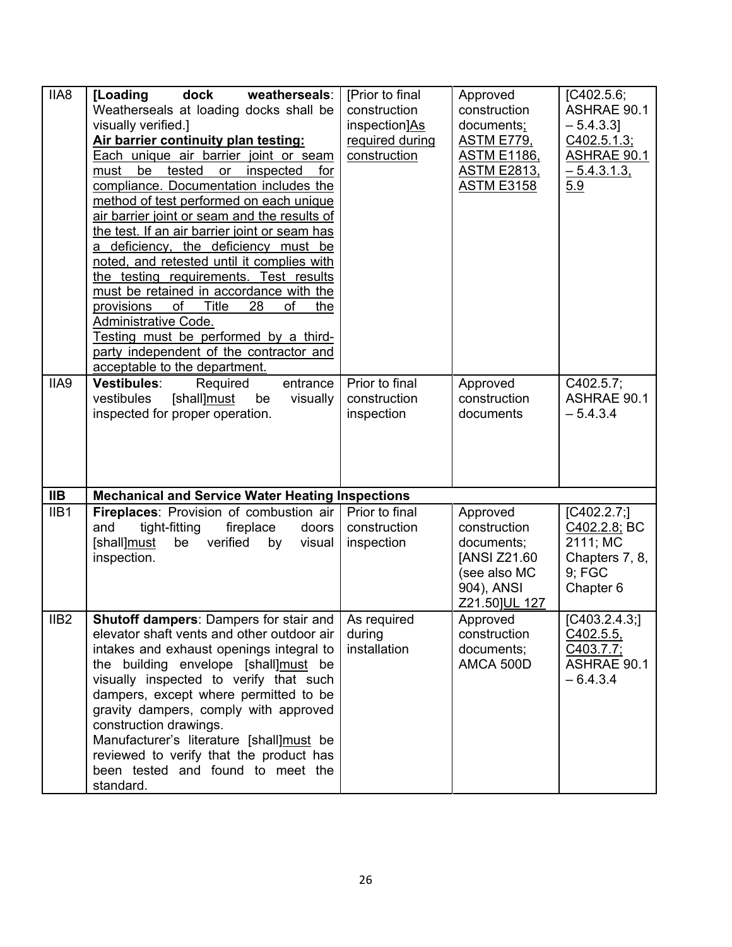| IIA8             | dock<br>weatherseals:<br>[Loading<br>Weatherseals at loading docks shall be<br>visually verified.]<br>Air barrier continuity plan testing:<br>Each unique air barrier joint or seam<br>be<br>tested<br>inspected<br>for<br>must<br>or<br>compliance. Documentation includes the<br>method of test performed on each unique<br>air barrier joint or seam and the results of<br>the test. If an air barrier joint or seam has<br>a deficiency, the deficiency must be<br>noted, and retested until it complies with<br>the testing requirements. Test results<br>must be retained in accordance with the<br>of<br>Title<br>provisions<br>28<br>of<br>the<br><b>Administrative Code.</b><br>Testing must be performed by a third-<br>party independent of the contractor and<br>acceptable to the department. | [Prior to final<br>construction<br>inspection]As<br>required during<br>construction | Approved<br>construction<br>documents;<br><b>ASTM E779,</b><br><b>ASTM E1186,</b><br><b>ASTM E2813.</b><br><b>ASTM E3158</b> | [ <b>C</b> 402.5.6;<br><b>ASHRAE 90.1</b><br>$-5.4.3.3$ ]<br>C402.5.1.3;<br><b>ASHRAE 90.1</b><br>$-5.4.3.1.3$<br>5.9 |
|------------------|------------------------------------------------------------------------------------------------------------------------------------------------------------------------------------------------------------------------------------------------------------------------------------------------------------------------------------------------------------------------------------------------------------------------------------------------------------------------------------------------------------------------------------------------------------------------------------------------------------------------------------------------------------------------------------------------------------------------------------------------------------------------------------------------------------|-------------------------------------------------------------------------------------|------------------------------------------------------------------------------------------------------------------------------|-----------------------------------------------------------------------------------------------------------------------|
| IIA9             | <b>Vestibules:</b><br>Required<br>entrance<br>vestibules<br>[shall]must<br>visually<br>be<br>inspected for proper operation.                                                                                                                                                                                                                                                                                                                                                                                                                                                                                                                                                                                                                                                                               | Prior to final<br>construction<br>inspection                                        | Approved<br>construction<br>documents                                                                                        | C402.5.7;<br><b>ASHRAE 90.1</b><br>$-5.4.3.4$                                                                         |
| <b>IIB</b>       | <b>Mechanical and Service Water Heating Inspections</b>                                                                                                                                                                                                                                                                                                                                                                                                                                                                                                                                                                                                                                                                                                                                                    |                                                                                     |                                                                                                                              |                                                                                                                       |
| IIB1             | <b>Fireplaces:</b> Provision of combustion air   Prior to final<br>tight-fitting<br>and<br>fireplace<br>doors<br>[shall]must<br>verified<br>by<br>be<br>visual<br>inspection.                                                                                                                                                                                                                                                                                                                                                                                                                                                                                                                                                                                                                              | construction<br>inspection                                                          | Approved<br>construction<br>documents;<br>[ANSI Z21.60<br>(see also MC<br>904), ANSI<br>Z21.50]UL 127                        | [C402.2.7;]<br>C402.2.8; BC<br>2111; MC<br>Chapters 7, 8,<br>9; FGC<br>Chapter 6                                      |
| IIB <sub>2</sub> | <b>Shutoff dampers: Dampers for stair and   As required</b><br>elevator shaft vents and other outdoor air<br>intakes and exhaust openings integral to<br>the building envelope [shall]must be<br>visually inspected to verify that such<br>dampers, except where permitted to be<br>gravity dampers, comply with approved<br>construction drawings.<br>Manufacturer's literature [shall]must be<br>reviewed to verify that the product has<br>been tested and found to meet the<br>standard.                                                                                                                                                                                                                                                                                                               | during<br>installation                                                              | Approved<br>construction<br>documents;<br>AMCA 500D                                                                          | [C403.2.4.3]<br>C402.5.5.<br>C403.7.7;<br><b>ASHRAE 90.1</b><br>$-6.4.3.4$                                            |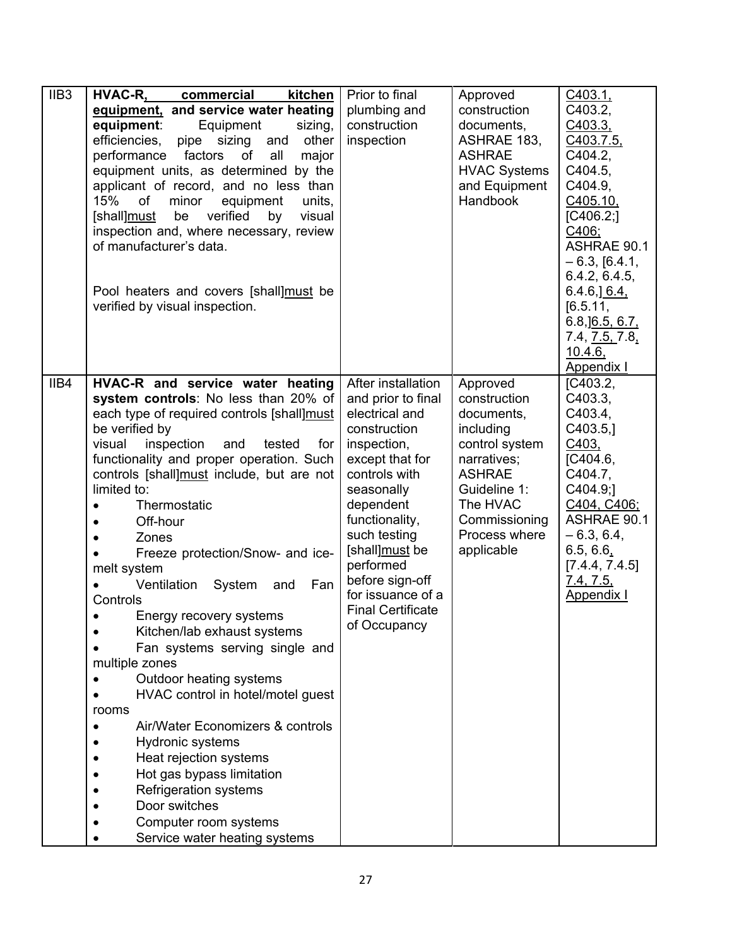| IIB <sub>3</sub> | HVAC-R,<br>commercial<br>kitchen                   | Prior to final                 | Approved                       | C403.1,                            |
|------------------|----------------------------------------------------|--------------------------------|--------------------------------|------------------------------------|
|                  | equipment, and service water heating               | plumbing and                   | construction                   | C403.2,                            |
|                  | equipment:<br>Equipment<br>sizing,                 | construction                   | documents,                     | C403.3,                            |
|                  | efficiencies,<br>pipe sizing<br>and<br>other       | inspection                     | ASHRAE 183,                    | C403.7.5,                          |
|                  | performance<br>factors<br>of<br>all<br>major       |                                | <b>ASHRAE</b>                  | C404.2,                            |
|                  | equipment units, as determined by the              |                                | <b>HVAC Systems</b>            | C404.5,                            |
|                  | applicant of record, and no less than              |                                | and Equipment                  | C404.9,                            |
|                  | 15%<br>of<br>equipment<br>minor<br>units,          |                                | <b>Handbook</b>                | C405.10                            |
|                  | verified<br>[shall]must<br>visual<br>be<br>by      |                                |                                | [C406.2]                           |
|                  | inspection and, where necessary, review            |                                |                                | C406;                              |
|                  | of manufacturer's data.                            |                                |                                | ASHRAE 90.1                        |
|                  |                                                    |                                |                                | $-6.3, [6.4.1,$                    |
|                  | Pool heaters and covers [shall]must be             |                                |                                | 6.4.2, 6.4.5,<br>$6.4.6$ , $6.4$ , |
|                  | verified by visual inspection.                     |                                |                                | [6.5.11,                           |
|                  |                                                    |                                |                                | $6.8$ , $\underline{]6.5, 6.7}$    |
|                  |                                                    |                                |                                | 7.4, 7.5, 7.8                      |
|                  |                                                    |                                |                                | 10.4.6,                            |
|                  |                                                    |                                |                                | Appendix I                         |
| IIB4             | HVAC-R and service water heating                   | After installation             | Approved                       | [ <b>C</b> 403.2]                  |
|                  | system controls: No less than 20% of               | and prior to final             | construction                   | C403.3,                            |
|                  | each type of required controls [shall]must         | electrical and                 | documents,                     | C403.4,                            |
|                  | be verified by                                     | construction                   | including                      | C403.5,                            |
|                  | inspection<br>tested<br>visual<br>and<br>for       | inspection,                    | control system                 | C403,                              |
|                  | functionality and proper operation. Such           | except that for                | narratives;                    | [ <b>C</b> 404.6]                  |
|                  | controls [shall]must include, but are not          | controls with                  | <b>ASHRAE</b>                  | C404.7,                            |
|                  | limited to:                                        | seasonally                     | Guideline 1:                   | C404.9;1                           |
|                  | Thermostatic                                       | dependent                      | The HVAC                       | C404, C406;<br><b>ASHRAE 90.1</b>  |
|                  | Off-hour                                           | functionality,<br>such testing | Commissioning<br>Process where | $-6.3, 6.4,$                       |
|                  | Zones                                              | [shall]must be                 | applicable                     | 6.5, 6.6,                          |
|                  | Freeze protection/Snow- and ice-                   | performed                      |                                | [7.4.4, 7.4.5]                     |
|                  | melt system<br>Ventilation<br>System<br>Fan<br>and | before sign-off                |                                | 7.4, 7.5,                          |
|                  | Controls                                           | for issuance of a              |                                | <b>Appendix I</b>                  |
|                  | Energy recovery systems                            | <b>Final Certificate</b>       |                                |                                    |
|                  | Kitchen/lab exhaust systems                        | of Occupancy                   |                                |                                    |
|                  | Fan systems serving single and                     |                                |                                |                                    |
|                  | multiple zones                                     |                                |                                |                                    |
|                  | Outdoor heating systems                            |                                |                                |                                    |
|                  | HVAC control in hotel/motel guest                  |                                |                                |                                    |
|                  | rooms                                              |                                |                                |                                    |
|                  | Air/Water Economizers & controls                   |                                |                                |                                    |
|                  | Hydronic systems                                   |                                |                                |                                    |
|                  | Heat rejection systems                             |                                |                                |                                    |
|                  | Hot gas bypass limitation                          |                                |                                |                                    |
|                  | <b>Refrigeration systems</b>                       |                                |                                |                                    |
|                  | Door switches                                      |                                |                                |                                    |
|                  | Computer room systems                              |                                |                                |                                    |
|                  | Service water heating systems                      |                                |                                |                                    |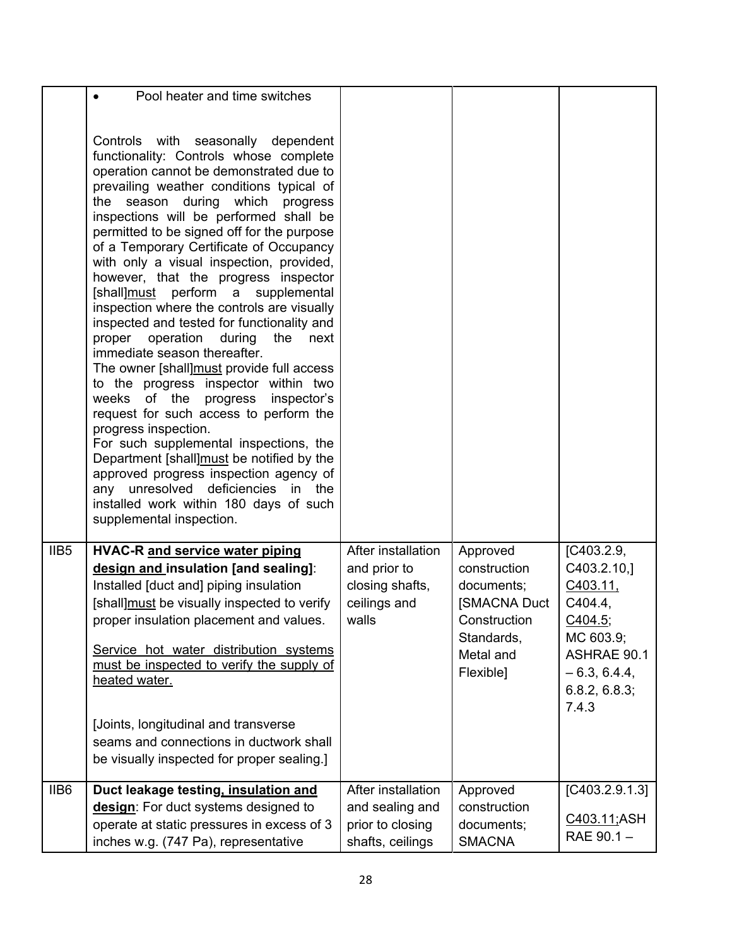|                  | Pool heater and time switches                                                                                                                                                                                                                                                                                                                                                                                                                                                                                                                                                                                                                                                                                                                                                                                                                                                                                                                                                                                                                                                                |                                                                                |                                                                                                                       |                                                                                                                                             |
|------------------|----------------------------------------------------------------------------------------------------------------------------------------------------------------------------------------------------------------------------------------------------------------------------------------------------------------------------------------------------------------------------------------------------------------------------------------------------------------------------------------------------------------------------------------------------------------------------------------------------------------------------------------------------------------------------------------------------------------------------------------------------------------------------------------------------------------------------------------------------------------------------------------------------------------------------------------------------------------------------------------------------------------------------------------------------------------------------------------------|--------------------------------------------------------------------------------|-----------------------------------------------------------------------------------------------------------------------|---------------------------------------------------------------------------------------------------------------------------------------------|
|                  |                                                                                                                                                                                                                                                                                                                                                                                                                                                                                                                                                                                                                                                                                                                                                                                                                                                                                                                                                                                                                                                                                              |                                                                                |                                                                                                                       |                                                                                                                                             |
|                  | Controls with seasonally dependent<br>functionality: Controls whose complete<br>operation cannot be demonstrated due to<br>prevailing weather conditions typical of<br>the season during which<br>progress<br>inspections will be performed shall be<br>permitted to be signed off for the purpose<br>of a Temporary Certificate of Occupancy<br>with only a visual inspection, provided,<br>however, that the progress inspector<br>[shall]must perform a supplemental<br>inspection where the controls are visually<br>inspected and tested for functionality and<br>operation during<br>proper<br>the<br>next<br>immediate season thereafter.<br>The owner [shall]must provide full access<br>to the progress inspector within two<br>weeks of the progress inspector's<br>request for such access to perform the<br>progress inspection.<br>For such supplemental inspections, the<br>Department [shall]must be notified by the<br>approved progress inspection agency of<br>any unresolved deficiencies in<br>the<br>installed work within 180 days of such<br>supplemental inspection. |                                                                                |                                                                                                                       |                                                                                                                                             |
| IIB <sub>5</sub> | <b>HVAC-R and service water piping</b><br>design and insulation [and sealing]:<br>Installed [duct and] piping insulation<br>[shall] must be visually inspected to verify<br>proper insulation placement and values.<br>Service hot water distribution systems<br>must be inspected to verify the supply of<br>heated water.<br>[Joints, longitudinal and transverse<br>seams and connections in ductwork shall<br>be visually inspected for proper sealing.]                                                                                                                                                                                                                                                                                                                                                                                                                                                                                                                                                                                                                                 | After installation<br>and prior to<br>closing shafts,<br>ceilings and<br>walls | Approved<br>construction<br>documents;<br><b>[SMACNA Duct</b><br>Construction<br>Standards,<br>Metal and<br>Flexible] | [ <b>C</b> 403.2.9]<br>C403.2.10,<br>C403.11.<br>C404.4.<br>C404.5;<br>MC 603.9;<br>ASHRAE 90.1<br>$-6.3, 6.4.4,$<br>6.8.2, 6.8.3;<br>7.4.3 |
| IIB6             | Duct leakage testing, insulation and<br>design: For duct systems designed to<br>operate at static pressures in excess of 3<br>inches w.g. (747 Pa), representative                                                                                                                                                                                                                                                                                                                                                                                                                                                                                                                                                                                                                                                                                                                                                                                                                                                                                                                           | After installation<br>and sealing and<br>prior to closing<br>shafts, ceilings  | Approved<br>construction<br>documents;<br><b>SMACNA</b>                                                               | [C403.2.9.1.3]<br>C403.11;ASH<br>RAE 90.1 -                                                                                                 |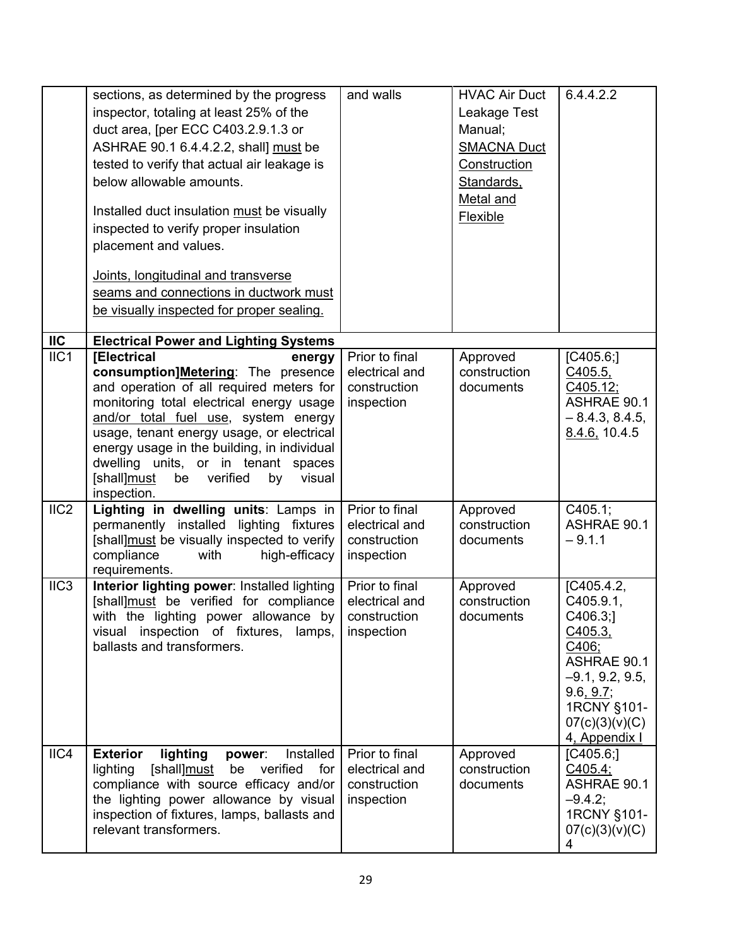|                | sections, as determined by the progress<br>inspector, totaling at least 25% of the<br>duct area, [per ECC C403.2.9.1.3 or<br>ASHRAE 90.1 6.4.4.2.2, shall] must be<br>tested to verify that actual air leakage is<br>below allowable amounts.<br>Installed duct insulation must be visually<br>inspected to verify proper insulation<br>placement and values.<br>Joints, longitudinal and transverse<br>seams and connections in ductwork must<br>be visually inspected for proper sealing. | and walls                                                      | <b>HVAC Air Duct</b><br>Leakage Test<br>Manual;<br><b>SMACNA Duct</b><br>Construction<br>Standards,<br>Metal and<br><b>Flexible</b> | 6.4.4.2.2                                                                                                                                                |
|----------------|---------------------------------------------------------------------------------------------------------------------------------------------------------------------------------------------------------------------------------------------------------------------------------------------------------------------------------------------------------------------------------------------------------------------------------------------------------------------------------------------|----------------------------------------------------------------|-------------------------------------------------------------------------------------------------------------------------------------|----------------------------------------------------------------------------------------------------------------------------------------------------------|
| $\mathsf{IIC}$ | <b>Electrical Power and Lighting Systems</b>                                                                                                                                                                                                                                                                                                                                                                                                                                                |                                                                |                                                                                                                                     |                                                                                                                                                          |
| IIC1           | <b>[Electrical</b><br>energy<br>consumption]Metering: The presence<br>and operation of all required meters for<br>monitoring total electrical energy usage<br>and/or total fuel use, system energy<br>usage, tenant energy usage, or electrical<br>energy usage in the building, in individual<br>dwelling units, or in tenant spaces<br>[shall]must<br>verified<br>be<br>visual<br>by<br>inspection.                                                                                       | Prior to final<br>electrical and<br>construction<br>inspection | Approved<br>construction<br>documents                                                                                               | [C405.6]<br>C405.5,<br>C405.12;<br>ASHRAE 90.1<br>$-8.4.3, 8.4.5,$<br>8.4.6, 10.4.5                                                                      |
| IIC2           | Lighting in dwelling units: Lamps in<br>permanently installed lighting fixtures<br>[shall]must be visually inspected to verify<br>compliance<br>high-efficacy<br>with<br>requirements.                                                                                                                                                                                                                                                                                                      | Prior to final<br>electrical and<br>construction<br>inspection | Approved<br>construction<br>documents                                                                                               | C405.1;<br>ASHRAE 90.1<br>$-9.1.1$                                                                                                                       |
| IIC3           | Interior lighting power: Installed lighting<br>[shall]must be verified for compliance<br>with the lighting power allowance by<br>visual inspection of fixtures, lamps,<br>ballasts and transformers.                                                                                                                                                                                                                                                                                        | Prior to final<br>electrical and<br>construction<br>inspection | Approved<br>construction<br>documents                                                                                               | [C405.4.2]<br>C405.9.1.<br>C406.3;<br>C405.3<br>C406;<br>ASHRAE 90.1<br>$-9.1, 9.2, 9.5,$<br>9.6, 9.7;<br>1RCNY §101-<br>07(c)(3)(v)(C)<br>4, Appendix I |
| IIC4           | Installed<br><b>Exterior</b><br>lighting<br>power:<br>lighting [shall]must be<br>verified<br>for<br>compliance with source efficacy and/or<br>the lighting power allowance by visual<br>inspection of fixtures, lamps, ballasts and<br>relevant transformers.                                                                                                                                                                                                                               | Prior to final<br>electrical and<br>construction<br>inspection | Approved<br>construction<br>documents                                                                                               | [C405.6]<br>C405.4;<br>ASHRAE 90.1<br>$-9.4.2$ ;<br>1RCNY §101-<br>07(c)(3)(v)(C)<br>4                                                                   |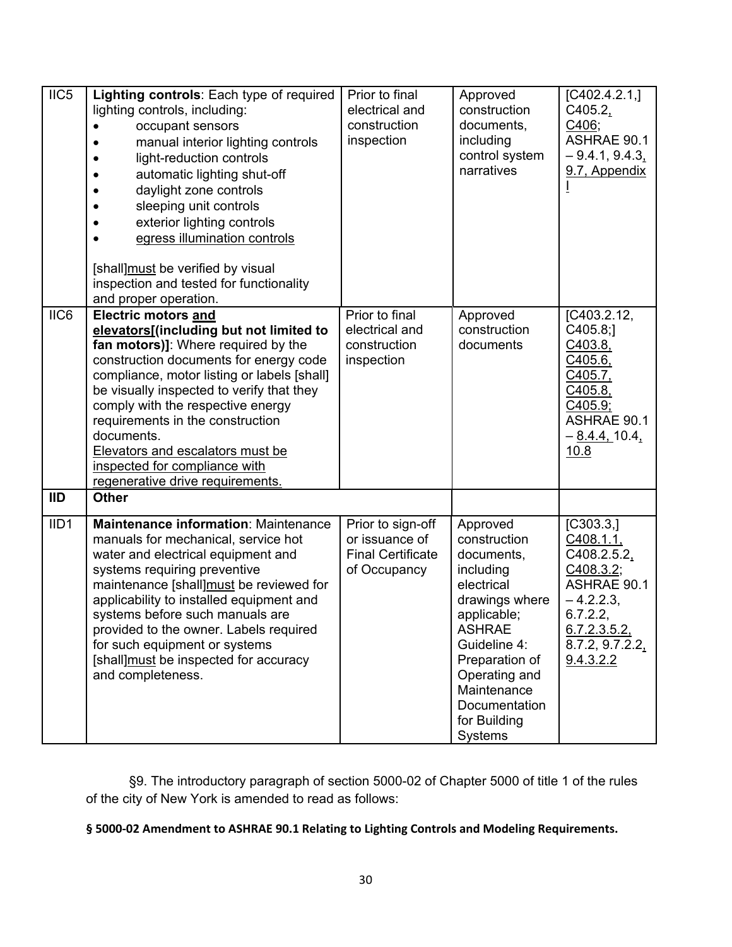| $\overline{IC5}$ | Lighting controls: Each type of required<br>lighting controls, including:<br>occupant sensors<br>manual interior lighting controls<br>light-reduction controls<br>automatic lighting shut-off<br>daylight zone controls<br>sleeping unit controls<br>exterior lighting controls<br>egress illumination controls<br>[shall]must be verified by visual<br>inspection and tested for functionality<br>and proper operation.                    | Prior to final<br>electrical and<br>construction<br>inspection                  | Approved<br>construction<br>documents,<br>including<br>control system<br>narratives                                                                                                                                                      | $\overline{[C402.4.2.1,]}$<br>C405.2,<br>C406;<br>ASHRAE 90.1<br>$-9.4.1, 9.4.3$<br>9.7, Appendix                                                  |
|------------------|---------------------------------------------------------------------------------------------------------------------------------------------------------------------------------------------------------------------------------------------------------------------------------------------------------------------------------------------------------------------------------------------------------------------------------------------|---------------------------------------------------------------------------------|------------------------------------------------------------------------------------------------------------------------------------------------------------------------------------------------------------------------------------------|----------------------------------------------------------------------------------------------------------------------------------------------------|
| IIC6             | Electric motors and<br>elevators[(including but not limited to<br>fan motors)]: Where required by the<br>construction documents for energy code<br>compliance, motor listing or labels [shall]<br>be visually inspected to verify that they<br>comply with the respective energy<br>requirements in the construction<br>documents.<br>Elevators and escalators must be<br>inspected for compliance with<br>regenerative drive requirements. | Prior to final<br>electrical and<br>construction<br>inspection                  | Approved<br>construction<br>documents                                                                                                                                                                                                    | [C403.2.12,<br>C405.8;<br>C403.8,<br>C405.6,<br>C405.7,<br>C405.8,<br>C405.9;<br>ASHRAE 90.1<br>$-\underline{8.4.4}$ , 10.4,<br>10.8               |
| <b>IID</b>       | <b>Other</b>                                                                                                                                                                                                                                                                                                                                                                                                                                |                                                                                 |                                                                                                                                                                                                                                          |                                                                                                                                                    |
| IID <sub>1</sub> | Maintenance information: Maintenance<br>manuals for mechanical, service hot<br>water and electrical equipment and<br>systems requiring preventive<br>maintenance [shall]must be reviewed for<br>applicability to installed equipment and<br>systems before such manuals are<br>provided to the owner. Labels required<br>for such equipment or systems<br>[shall] must be inspected for accuracy<br>and completeness.                       | Prior to sign-off<br>or issuance of<br><b>Final Certificate</b><br>of Occupancy | Approved<br>construction<br>documents,<br>including<br>electrical<br>drawings where<br>applicable;<br><b>ASHRAE</b><br>Guideline 4:<br>Preparation of<br>Operating and<br>Maintenance<br>Documentation<br>for Building<br><b>Systems</b> | [C303.3]<br>C408.1.1,<br>$C408.2.5.2_1$<br>C408.3.2;<br><b>ASHRAE 90.1</b><br>$-4.2.2.3$<br>6.7.2.2,<br>6.7.2.3.5.2<br>8.7.2, 9.7.2.2<br>9.4.3.2.2 |

§9. The introductory paragraph of section 5000-02 of Chapter 5000 of title 1 of the rules of the city of New York is amended to read as follows:

**§ 5000‐02 Amendment to ASHRAE 90.1 Relating to Lighting Controls and Modeling Requirements.**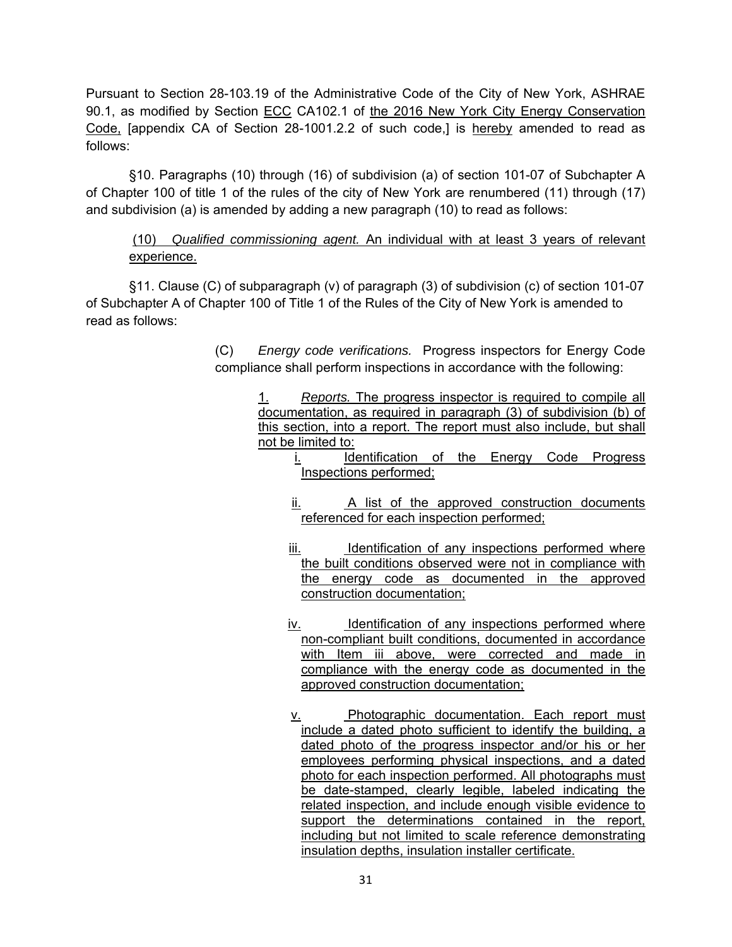Pursuant to Section 28-103.19 of the Administrative Code of the City of New York, ASHRAE 90.1, as modified by Section ECC CA102.1 of the 2016 New York City Energy Conservation Code, [appendix CA of Section 28-1001.2.2 of such code,] is hereby amended to read as follows:

 §10. Paragraphs (10) through (16) of subdivision (a) of section 101-07 of Subchapter A of Chapter 100 of title 1 of the rules of the city of New York are renumbered (11) through (17) and subdivision (a) is amended by adding a new paragraph (10) to read as follows:

# (10) *Qualified commissioning agent.* An individual with at least 3 years of relevant experience.

 §11. Clause (C) of subparagraph (v) of paragraph (3) of subdivision (c) of section 101-07 of Subchapter A of Chapter 100 of Title 1 of the Rules of the City of New York is amended to read as follows:

> (C) *Energy code verifications.* Progress inspectors for Energy Code compliance shall perform inspections in accordance with the following:

> > 1. *Reports.* The progress inspector is required to compile all documentation, as required in paragraph (3) of subdivision (b) of this section, into a report. The report must also include, but shall not be limited to:

i. Identification of the Energy Code Progress Inspections performed;

- ii. A list of the approved construction documents referenced for each inspection performed;
- iii. Identification of any inspections performed where the built conditions observed were not in compliance with the energy code as documented in the approved construction documentation;
- iv. Identification of any inspections performed where non-compliant built conditions, documented in accordance with Item iii above, were corrected and made in compliance with the energy code as documented in the approved construction documentation;
- v. Photographic documentation. Each report must include a dated photo sufficient to identify the building, a dated photo of the progress inspector and/or his or her employees performing physical inspections, and a dated photo for each inspection performed. All photographs must be date-stamped, clearly legible, labeled indicating the related inspection, and include enough visible evidence to support the determinations contained in the report, including but not limited to scale reference demonstrating insulation depths, insulation installer certificate.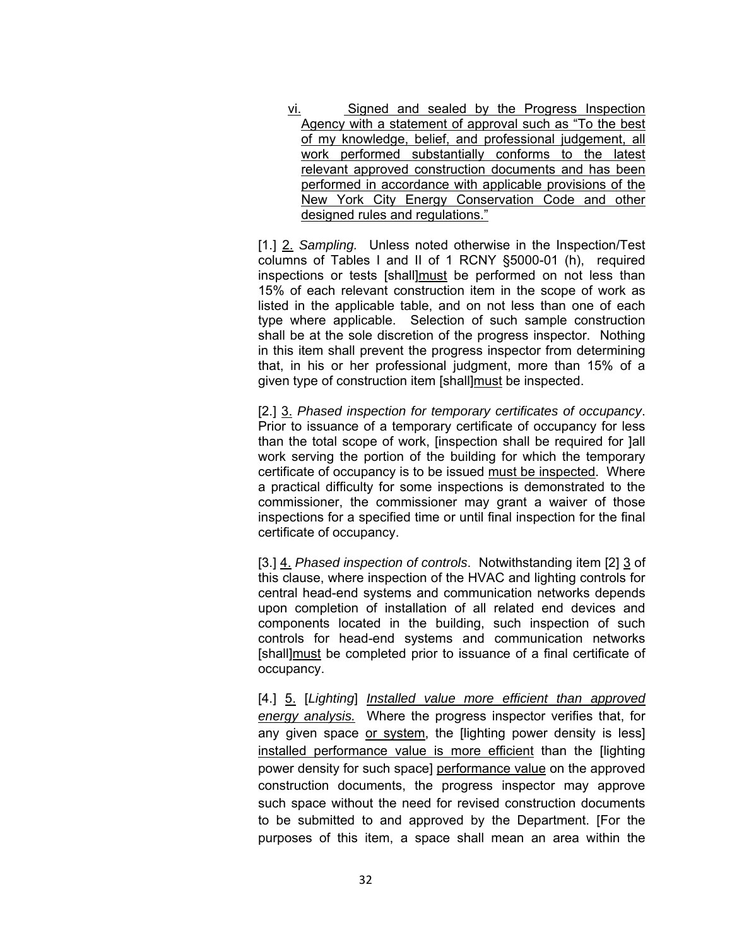vi. Signed and sealed by the Progress Inspection Agency with a statement of approval such as "To the best of my knowledge, belief, and professional judgement, all work performed substantially conforms to the latest relevant approved construction documents and has been performed in accordance with applicable provisions of the New York City Energy Conservation Code and other designed rules and regulations."

[1.] 2. *Sampling.* Unless noted otherwise in the Inspection/Test columns of Tables I and II of 1 RCNY §5000-01 (h), required inspections or tests [shall]must be performed on not less than 15% of each relevant construction item in the scope of work as listed in the applicable table, and on not less than one of each type where applicable. Selection of such sample construction shall be at the sole discretion of the progress inspector. Nothing in this item shall prevent the progress inspector from determining that, in his or her professional judgment, more than 15% of a given type of construction item [shall]must be inspected.

[2.] 3. *Phased inspection for temporary certificates of occupancy*. Prior to issuance of a temporary certificate of occupancy for less than the total scope of work, [inspection shall be required for ]all work serving the portion of the building for which the temporary certificate of occupancy is to be issued must be inspected. Where a practical difficulty for some inspections is demonstrated to the commissioner, the commissioner may grant a waiver of those inspections for a specified time or until final inspection for the final certificate of occupancy.

[3.] 4. *Phased inspection of controls*. Notwithstanding item [2] 3 of this clause, where inspection of the HVAC and lighting controls for central head-end systems and communication networks depends upon completion of installation of all related end devices and components located in the building, such inspection of such controls for head-end systems and communication networks [shall]must be completed prior to issuance of a final certificate of occupancy.

[4.] 5. [*Lighting*] *Installed value more efficient than approved energy analysis.* Where the progress inspector verifies that, for any given space or system, the [lighting power density is less] installed performance value is more efficient than the [lighting power density for such space] performance value on the approved construction documents, the progress inspector may approve such space without the need for revised construction documents to be submitted to and approved by the Department. [For the purposes of this item, a space shall mean an area within the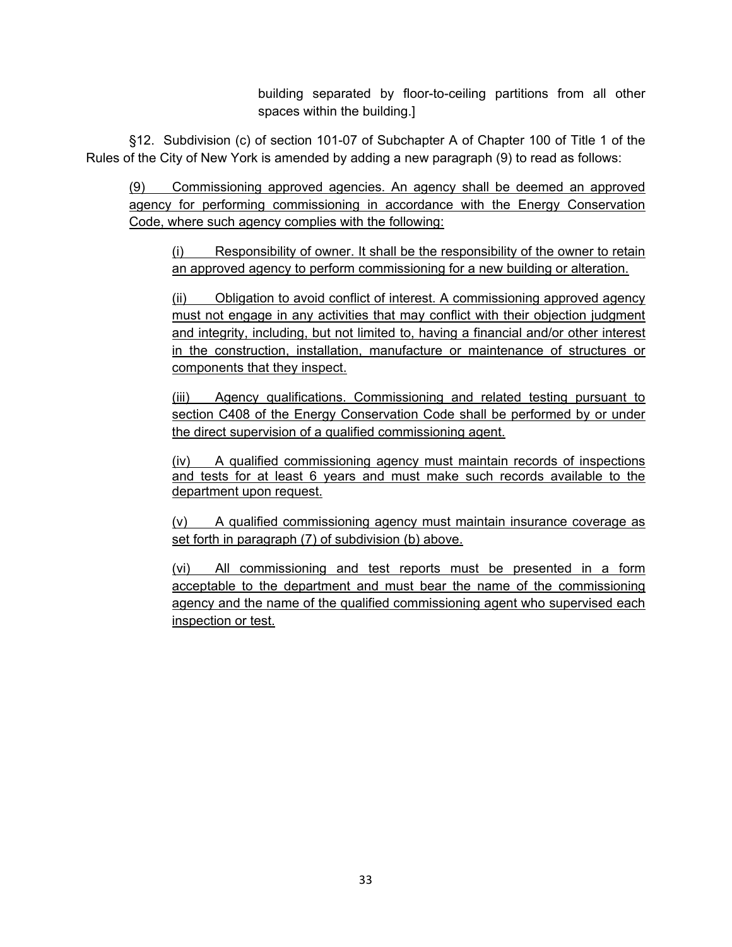building separated by floor-to-ceiling partitions from all other spaces within the building.]

 §12. Subdivision (c) of section 101-07 of Subchapter A of Chapter 100 of Title 1 of the Rules of the City of New York is amended by adding a new paragraph (9) to read as follows:

(9) Commissioning approved agencies. An agency shall be deemed an approved agency for performing commissioning in accordance with the Energy Conservation Code, where such agency complies with the following:

(i) Responsibility of owner. It shall be the responsibility of the owner to retain an approved agency to perform commissioning for a new building or alteration.

(ii) Obligation to avoid conflict of interest. A commissioning approved agency must not engage in any activities that may conflict with their objection judgment and integrity, including, but not limited to, having a financial and/or other interest in the construction, installation, manufacture or maintenance of structures or components that they inspect.

(iii) Agency qualifications. Commissioning and related testing pursuant to section C408 of the Energy Conservation Code shall be performed by or under the direct supervision of a qualified commissioning agent.

(iv) A qualified commissioning agency must maintain records of inspections and tests for at least 6 years and must make such records available to the department upon request.

(v) A qualified commissioning agency must maintain insurance coverage as set forth in paragraph (7) of subdivision (b) above.

(vi) All commissioning and test reports must be presented in a form acceptable to the department and must bear the name of the commissioning agency and the name of the qualified commissioning agent who supervised each inspection or test.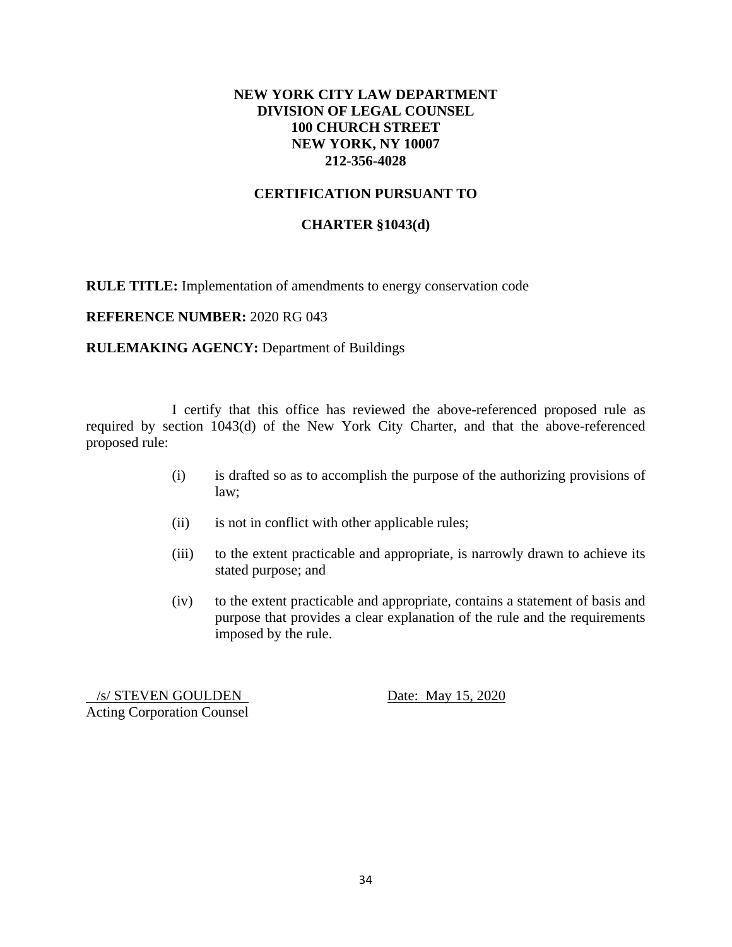# **NEW YORK CITY LAW DEPARTMENT DIVISION OF LEGAL COUNSEL 100 CHURCH STREET NEW YORK, NY 10007 212-356-4028**

# **CERTIFICATION PURSUANT TO**

### **CHARTER §1043(d)**

**RULE TITLE:** Implementation of amendments to energy conservation code

#### **REFERENCE NUMBER:** 2020 RG 043

#### **RULEMAKING AGENCY:** Department of Buildings

 I certify that this office has reviewed the above-referenced proposed rule as required by section 1043(d) of the New York City Charter, and that the above-referenced proposed rule:

- (i) is drafted so as to accomplish the purpose of the authorizing provisions of law;
- (ii) is not in conflict with other applicable rules;
- (iii) to the extent practicable and appropriate, is narrowly drawn to achieve its stated purpose; and
- (iv) to the extent practicable and appropriate, contains a statement of basis and purpose that provides a clear explanation of the rule and the requirements imposed by the rule.

/s/ STEVEN GOULDEN Date: May 15, 2020 Acting Corporation Counsel